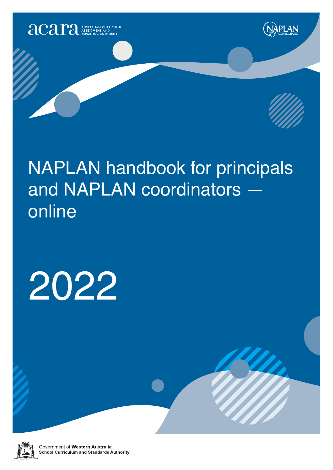

# NAPLAN handbook for principals and NAPLAN coordinators online

# 2022



Government of Western Australia **School Curriculum and Standards Authority**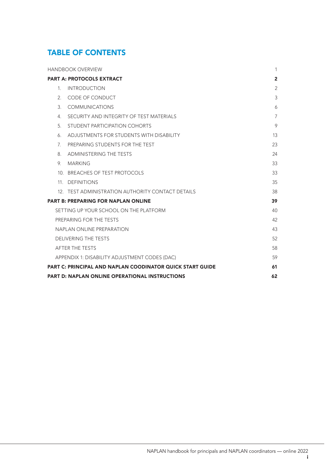# TABLE OF CONTENTS

|                | <b>HANDBOOK OVERVIEW</b>                                         | $\mathbf{1}$   |
|----------------|------------------------------------------------------------------|----------------|
|                | <b>PART A: PROTOCOLS EXTRACT</b>                                 | $\overline{2}$ |
| $1_{-}$        | <b>INTRODUCTION</b>                                              | $\overline{2}$ |
| 2.             | CODE OF CONDUCT                                                  | 3              |
| 3.             | <b>COMMUNICATIONS</b>                                            | 6              |
| 4.             | SECURITY AND INTEGRITY OF TEST MATERIALS                         | $\overline{7}$ |
| 5 <sub>1</sub> | STUDENT PARTICIPATION COHORTS                                    | 9              |
| 6.             | ADJUSTMENTS FOR STUDENTS WITH DISABILITY                         | 13             |
| $7^{\circ}$    | PREPARING STUDENTS FOR THE TEST                                  | 23             |
| 8.             | <b>ADMINISTERING THE TESTS</b>                                   | 24             |
| 9.             | <b>MARKING</b>                                                   | 33             |
|                | 10. BREACHES OF TEST PROTOCOLS                                   | 33             |
|                | 11. DEFINITIONS                                                  | 35             |
|                | 12. TEST ADMINISTRATION AUTHORITY CONTACT DETAILS                | 38             |
|                | <b>PART B: PREPARING FOR NAPLAN ONLINE</b>                       | 39             |
|                | SETTING UP YOUR SCHOOL ON THE PLATFORM                           | 40             |
|                | PREPARING FOR THE TESTS                                          | 42             |
|                | NAPLAN ONLINE PREPARATION                                        | 43             |
|                | <b>DELIVERING THE TESTS</b>                                      | 52             |
|                | AFTER THE TESTS                                                  | 58             |
|                | APPENDIX 1: DISABILITY ADJUSTMENT CODES (DAC)                    | 59             |
|                | <b>PART C: PRINCIPAL AND NAPLAN COODINATOR QUICK START GUIDE</b> | 61             |
|                | PART D: NAPLAN ONLINE OPERATIONAL INSTRUCTIONS                   | 62             |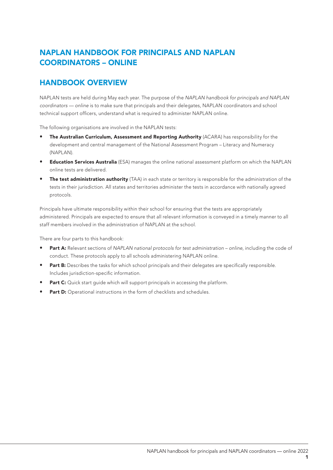# NAPLAN HANDBOOK FOR PRINCIPALS AND NAPLAN COORDINATORS – ONLINE

# HANDBOOK OVERVIEW

NAPLAN tests are held during May each year. The purpose of the *NAPLAN handbook for principals and NAPLAN coordinators — online* is to make sure that principals and their delegates, NAPLAN coordinators and school technical support officers, understand what is required to administer NAPLAN online.

The following organisations are involved in the NAPLAN tests:

- The Australian Curriculum, Assessment and Reporting Authority (ACARA) has responsibility for the development and central management of the National Assessment Program – Literacy and Numeracy (NAPLAN).
- **Education Services Australia** (ESA) manages the online national assessment platform on which the NAPLAN online tests are delivered.
- **The test administration authority** (TAA) in each state or territory is responsible for the administration of the tests in their jurisdiction. All states and territories administer the tests in accordance with nationally agreed protocols.

Principals have ultimate responsibility within their school for ensuring that the tests are appropriately administered. Principals are expected to ensure that all relevant information is conveyed in a timely manner to all staff members involved in the administration of NAPLAN at the school.

There are four parts to this handbook:

- Part A: Relevant sections of *NAPLAN national protocols for test administration online*, including the code of conduct. These protocols apply to all schools administering NAPLAN online.
- Part B: Describes the tasks for which school principals and their delegates are specifically responsible. Includes jurisdiction-specific information.
- **Part C:** Quick start quide which will support principals in accessing the platform.
- Part D: Operational instructions in the form of checklists and schedules.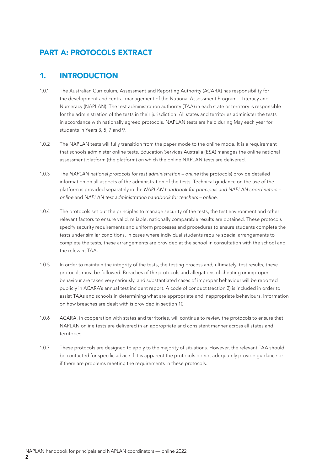# PART A: PROTOCOLS EXTRACT

# 1. INTRODUCTION

- 1.0.1 The Australian Curriculum, Assessment and Reporting Authority (ACARA) has responsibility for the development and central management of the National Assessment Program – Literacy and Numeracy (NAPLAN). The test administration authority (TAA) in each state or territory is responsible for the administration of the tests in their jurisdiction. All states and territories administer the tests in accordance with nationally agreed protocols. NAPLAN tests are held during May each year for students in Years 3, 5, 7 and 9.
- 1.0.2 The NAPLAN tests will fully transition from the paper mode to the online mode. It is a requirement that schools administer online tests. Education Services Australia (ESA) manages the online national assessment platform (the platform) on which the online NAPLAN tests are delivered.
- 1.0.3 The *NAPLAN national protocols for test administration online* (the protocols) provide detailed information on all aspects of the administration of the tests. Technical guidance on the use of the platform is provided separately in the *NAPLAN handbook for principals and NAPLAN coordinators – online* and *NAPLAN test administration handbook for teachers – online*.
- 1.0.4 The protocols set out the principles to manage security of the tests, the test environment and other relevant factors to ensure valid, reliable, nationally comparable results are obtained. These protocols specify security requirements and uniform processes and procedures to ensure students complete the tests under similar conditions. In cases where individual students require special arrangements to complete the tests, these arrangements are provided at the school in consultation with the school and the relevant TAA.
- 1.0.5 In order to maintain the integrity of the tests, the testing process and, ultimately, test results, these protocols must be followed. Breaches of the protocols and allegations of cheating or improper behaviour are taken very seriously, and substantiated cases of improper behaviour will be reported publicly in ACARA's annual test incident report. A code of conduct (section 2) is included in order to assist TAAs and schools in determining what are appropriate and inappropriate behaviours. Information on how breaches are dealt with is provided in section 10.
- 1.0.6 ACARA, in cooperation with states and territories, will continue to review the protocols to ensure that NAPLAN online tests are delivered in an appropriate and consistent manner across all states and territories.
- 1.0.7 These protocols are designed to apply to the majority of situations. However, the relevant TAA should be contacted for specific advice if it is apparent the protocols do not adequately provide guidance or if there are problems meeting the requirements in these protocols.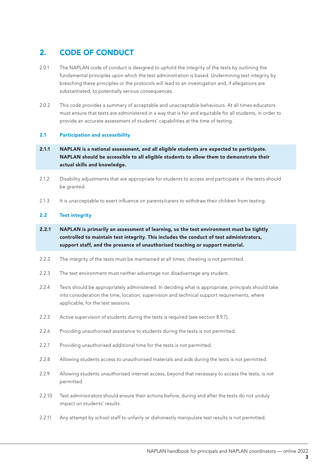# 2. CODE OF CONDUCT

- 2.0.1 The NAPLAN code of conduct is designed to uphold the integrity of the tests by outlining the fundamental principles upon which the test administration is based. Undermining test integrity by breaching these principles or the protocols will lead to an investigation and, if allegations are substantiated, to potentially serious consequences.
- 2.0.2 This code provides a summary of acceptable and unacceptable behaviours. At all times educators must ensure that tests are administered in a way that is fair and equitable for all students, in order to provide an accurate assessment of students' capabilities at the time of testing.

#### 2.1 Participation and accessibility

- 2.1.1 NAPLAN is a national assessment, and all eligible students are expected to participate. NAPLAN should be accessible to all eligible students to allow them to demonstrate their actual skills and knowledge.
- 2.1.2 Disability adjustments that are appropriate for students to access and participate in the tests should be granted.
- 2.1.3 It is unacceptable to exert influence on parents/carers to withdraw their children from testing.

#### 2.2 Test integrity

- 2.2.1 NAPLAN is primarily an assessment of learning, so the test environment must be tightly controlled to maintain test integrity. This includes the conduct of test administrators, support staff, and the presence of unauthorised teaching or support material.
- 2.2.2 The integrity of the tests must be maintained at all times; cheating is not permitted.
- 2.2.3 The test environment must neither advantage nor disadvantage any student.
- 2.2.4 Tests should be appropriately administered. In deciding what is appropriate, principals should take into consideration the time, location, supervision and technical support requirements, where applicable, for the test sessions.
- 2.2.5 Active supervision of students during the tests is required (see section 8.9.7).
- 2.2.6 Providing unauthorised assistance to students during the tests is not permitted.
- 2.2.7 Providing unauthorised additional time for the tests is not permitted.
- 2.2.8 Allowing students access to unauthorised materials and aids during the tests is not permitted.
- 2.2.9 Allowing students unauthorised internet access, beyond that necessary to access the tests, is not permitted.
- 2.2.10 Test administrators should ensure their actions before, during and after the tests do not unduly impact on students' results.
- 2.2.11 Any attempt by school staff to unfairly or dishonestly manipulate test results is not permitted.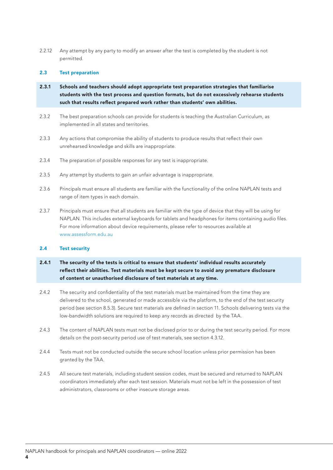2.2.12 Any attempt by any party to modify an answer after the test is completed by the student is not permitted.

#### 2.3 Test preparation

- 2.3.1 Schools and teachers should adopt appropriate test preparation strategies that familiarise students with the test process and question formats, but do not excessively rehearse students such that results reflect prepared work rather than students' own abilities.
- 2.3.2 The best preparation schools can provide for students is teaching the Australian Curriculum, as implemented in all states and territories.
- 2.3.3 Any actions that compromise the ability of students to produce results that reflect their own unrehearsed knowledge and skills are inappropriate.
- 2.3.4 The preparation of possible responses for any test is inappropriate.
- 2.3.5 Any attempt by students to gain an unfair advantage is inappropriate.
- 2.3.6 Principals must ensure all students are familiar with the functionality of the online NAPLAN tests and range of item types in each domain.
- 2.3.7 Principals must ensure that all students are familiar with the type of device that they will be using for NAPLAN. This includes external keyboards for tablets and headphones for items containing audio files. For more information about device requirements, please refer to resources available at www.assessform.edu.au

#### 2.4 Test security

- 2.4.1 The security of the tests is critical to ensure that students' individual results accurately reflect their abilities. Test materials must be kept secure to avoid any premature disclosure of content or unauthorised disclosure of test materials at any time.
- 2.4.2 The security and confidentiality of the test materials must be maintained from the time they are delivered to the school, generated or made accessible via the platform, to the end of the test security period (see section 8.5.3). Secure test materials are defined in section 11. Schools delivering tests via the low-bandwidth solutions are required to keep any records as directed by the TAA.
- 2.4.3 The content of NAPLAN tests must not be disclosed prior to or during the test security period. For more details on the post-security period use of test materials, see section 4.3.12.
- 2.4.4 Tests must not be conducted outside the secure school location unless prior permission has been granted by the TAA.
- 2.4.5 All secure test materials, including student session codes, must be secured and returned to NAPLAN coordinators immediately after each test session. Materials must not be left in the possession of test administrators, classrooms or other insecure storage areas.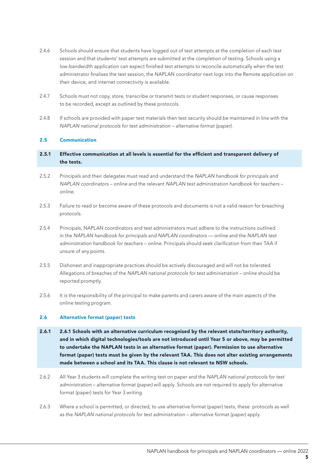- 2.4.6 Schools should ensure that students have logged out of test attempts at the completion of each test session and that students' test attempts are submitted at the completion of testing. Schools using a low-bandwidth application can expect finished test attempts to reconcile automatically when the test administrator finalises the test session, the NAPLAN coordinator next logs into the Remote application on their device, and internet connectivity is available.
- 2.4.7 Schools must not copy, store, transcribe or transmit tests or student responses, or cause responses to be recorded, except as outlined by these protocols.
- 2.4.8 If schools are provided with paper test materials then test security should be maintained in line with the *NAPLAN national protocols for test administration – alternative format (paper)*.

#### 2.5 Communication

#### 2.5.1 Effective communication at all levels is essential for the efficient and transparent delivery of the tests.

- 2.5.2 Principals and their delegates must read and understand the *NAPLAN handbook for principals and NAPLAN coordinators – online* and the relevant *NAPLAN test administration handbook for teachers – online.*
- 2.5.3 Failure to read or become aware of these protocols and documents is not a valid reason for breaching protocols.
- 2.5.4 Principals, NAPLAN coordinators and test administrators must adhere to the instructions outlined in the NAPLAN handbook for principals and NAPLAN coordinators — online and the NAPLAN test *administration handbook for teachers – online*. Principals should seek clarification from their TAA if unsure of any points.
- 2.5.5 Dishonest and inappropriate practices should be actively discouraged and will not be tolerated. Allegations of breaches of the *NAPLAN national protocols for test administration – online* should be reported promptly.
- 2.5.6 It is the responsibility of the principal to make parents and carers aware of the main aspects of the online testing program.

#### 2.6 Alternative format (paper) tests

- 2.6.1 2.6.1 Schools with an alternative curriculum recognised by the relevant state/territory authority, and in which digital technologies/tools are not introduced until Year 5 or above, may be permitted to undertake the NAPLAN tests in an alternative format (paper). Permission to use alternative format (paper) tests must be given by the relevant TAA. This does not alter existing arrangements made between a school and its TAA. This clause is not relevant to NSW schools.
- 2.6.2 All Year 3 students will complete the writing test on paper and the *NAPLAN national protocols for test administration – alternative format (paper)* will apply. Schools are not required to apply for alternative format (paper) tests for Year 3 writing.
- 2.6.3 Where a school is permitted, or directed, to use alternative format (paper) tests, these protocols as well as the *NAPLAN national protocols for test administration – alternative format (paper)* apply.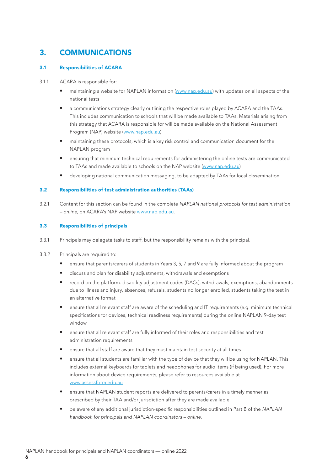# 3. COMMUNICATIONS

#### 3.1 Responsibilities of ACARA

#### 3.1.1 ACARA is responsible for:

- maintaining a website for NAPLAN information (www.nap.edu.au) with updates on all aspects of the national tests
- a communications strategy clearly outlining the respective roles played by ACARA and the TAAs. This includes communication to schools that will be made available to TAAs. Materials arising from this strategy that ACARA is responsible for will be made available on the National Assessment Program (NAP) website (www.nap.edu.au)
- maintaining these protocols, which is a key risk control and communication document for the NAPLAN program
- ensuring that minimum technical requirements for administering the online tests are communicated to TAAs and made available to schools on the NAP website (www.nap.edu.au)
- developing national communication messaging, to be adapted by TAAs for local dissemination.

#### 3.2 Responsibilities of test administration authorities (TAAs)

3.2.1 Content for this section can be found in the complete *NAPLAN national protocols for test administration – online*, on ACARA's NAP website www.nap.edu.au.

#### 3.3 Responsibilities of principals

- 3.3.1 Principals may delegate tasks to staff, but the responsibility remains with the principal.
- 3.3.2 Principals are required to:
	- ensure that parents/carers of students in Years 3, 5, 7 and 9 are fully informed about the program
	- discuss and plan for disability adjustments, withdrawals and exemptions
	- record on the platform: disability adjustment codes (DACs), withdrawals, exemptions, abandonments due to illness and injury, absences, refusals, students no longer enrolled, students taking the test in an alternative format
	- ensure that all relevant staff are aware of the scheduling and IT requirements (e.g. minimum technical specifications for devices, technical readiness requirements) during the online NAPLAN 9-day test window
	- ensure that all relevant staff are fully informed of their roles and responsibilities and test administration requirements
	- ensure that all staff are aware that they must maintain test security at all times
	- ensure that all students are familiar with the type of device that they will be using for NAPLAN. This includes external keyboards for tablets and headphones for audio items (if being used). For more information about device requirements, please refer to resources available at www.assessform.edu.au
	- ensure that NAPLAN student reports are delivered to parents/carers in a timely manner as prescribed by their TAA and/or jurisdiction after they are made available
	- be aware of any additional jurisdiction-specific responsibilities outlined in Part B of the *NAPLAN handbook for principals and NAPLAN coordinators – online*.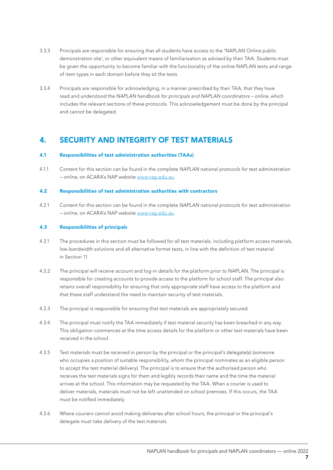- 3.3.3 Principals are responsible for ensuring that all students have access to the 'NAPLAN Online public demonstration site', or other equivalent means of familiarisation as advised by their TAA. Students must be given the opportunity to become familiar with the functionality of the online NAPLAN tests and range of item types in each domain before they sit the tests.
- 3.3.4 Principals are responsible for acknowledging, in a manner prescribed by their TAA, that they have read and understood the *NAPLAN handbook for principals and NAPLAN coordinators – online,* which includes the relevant sections of these protocols. This acknowledgement must be done by the principal and cannot be delegated.

# 4. SECURITY AND INTEGRITY OF TEST MATERIALS

#### 4.1 Responsibilities of test administration authorities (TAAs)

4.1.1 Content for this section can be found in the complete *NAPLAN national protocols for test administration – online*, on ACARA's NAP website www.nap.edu.au.

#### 4.2 Responsibilities of test administration authorities with contractors

4.2.1 Content for this section can be found in the complete *NAPLAN national protocols for test administration – online*, on ACARA's NAP website www.nap.edu.au.

#### 4.3 Responsibilities of principals

- 4.3.1 The procedures in this section must be followed for all test materials, including platform access materials, low-bandwidth solutions and all alternative format tests, in line with the definition of test material in Section 11.
- 4.3.2 The principal will receive account and log-in details for the platform prior to NAPLAN. The principal is responsible for creating accounts to provide access to the platform for school staff. The principal also retains overall responsibility for ensuring that only appropriate staff have access to the platform and that these staff understand the need to maintain security of test materials.
- 4.3.3 The principal is responsible for ensuring that test materials are appropriately secured.
- 4.3.4 The principal must notify the TAA immediately if test material security has been breached in any way. This obligation commences at the time access details for the platform or other test materials have been received in the school.
- 4.3.5 Test materials must be received in person by the principal or the principal's delegate(s) (someone who occupies a position of suitable responsibility, whom the principal nominates as an eligible person to accept the test material delivery). The principal is to ensure that the authorised person who receives the test materials signs for them and legibly records their name and the time the material arrives at the school. This information may be requested by the TAA. When a courier is used to deliver materials, materials must not be left unattended on school premises. If this occurs, the TAA must be notified immediately.
- 4.3.6 Where couriers cannot avoid making deliveries after school hours, the principal or the principal's delegate must take delivery of the test materials.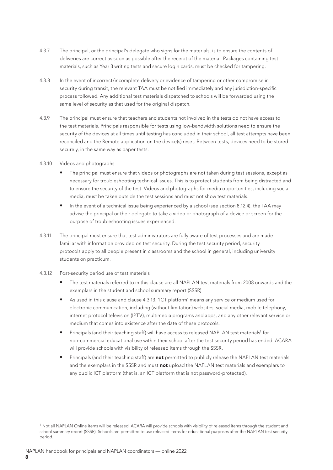- 4.3.7 The principal, or the principal's delegate who signs for the materials, is to ensure the contents of deliveries are correct as soon as possible after the receipt of the material. Packages containing test materials, such as Year 3 writing tests and secure login cards, must be checked for tampering.
- 4.3.8 In the event of incorrect/incomplete delivery or evidence of tampering or other compromise in security during transit, the relevant TAA must be notified immediately and any jurisdiction-specific process followed. Any additional test materials dispatched to schools will be forwarded using the same level of security as that used for the original dispatch.
- 4.3.9 The principal must ensure that teachers and students not involved in the tests do not have access to the test materials. Principals responsible for tests using low-bandwidth solutions need to ensure the security of the devices at all times until testing has concluded in their school, all test attempts have been reconciled and the Remote application on the device(s) reset. Between tests, devices need to be stored securely, in the same way as paper tests.
- 4.3.10 Videos and photographs
	- The principal must ensure that videos or photographs are not taken during test sessions, except as necessary for troubleshooting technical issues. This is to protect students from being distracted and to ensure the security of the test. Videos and photographs for media opportunities, including social media, must be taken outside the test sessions and must not show test materials.
	- In the event of a technical issue being experienced by a school (see section 8.12.4), the TAA may advise the principal or their delegate to take a video or photograph of a device or screen for the purpose of troubleshooting issues experienced.
- 4.3.11 The principal must ensure that test administrators are fully aware of test processes and are made familiar with information provided on test security. During the test security period, security protocols apply to all people present in classrooms and the school in general, including university students on practicum.
- 4.3.12 Post-security period use of test materials
	- The test materials referred to in this clause are all NAPLAN test materials from 2008 onwards and the exemplars in the student and school summary report (SSSR).
	- As used in this clause and clause 4.3.13, 'ICT platform' means any service or medium used for electronic communication, including (without limitation) websites, social media, mobile telephony, internet protocol television (IPTV), multimedia programs and apps, and any other relevant service or medium that comes into existence after the date of these protocols.
	- Principals (and their teaching staff) will have access to released NAPLAN test materials<sup>1</sup> for non-commercial educational use within their school after the test security period has ended. ACARA will provide schools with visibility of released items through the SSSR.
	- Principals (and their teaching staff) are not permitted to publicly release the NAPLAN test materials and the exemplars in the SSSR and must not upload the NAPLAN test materials and exemplars to any public ICT platform (that is, an ICT platform that is not password-protected).

<sup>&</sup>lt;sup>1</sup> Not all NAPLAN Online items will be released. ACARA will provide schools with visibility of released items through the student and school summary report (SSSR). Schools are permitted to use released items for educational purposes after the NAPLAN test security period.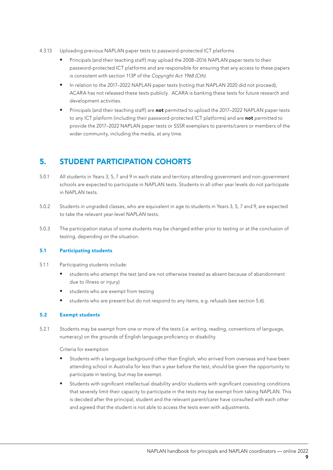- 4.3.13 Uploading previous NAPLAN paper tests to password-protected ICT platforms
	- Principals (and their teaching staff) may upload the 2008–2016 NAPLAN paper tests to their password-protected ICT platforms and are responsible for ensuring that any access to these papers is consistent with section 113P of the *Copyright Act 1968 (Cth).*
	- In relation to the 2017–2022 NAPLAN paper tests (noting that NAPLAN 2020 did not proceed), ACARA has not released these tests publicly. ACARA is banking these tests for future research and development activities.
	- Principals (and their teaching staff) are not permitted to upload the 2017-2022 NAPLAN paper tests to any ICT platform (including their password-protected ICT platforms) and are not permitted to provide the 2017–2022 NAPLAN paper tests or SSSR exemplars to parents/carers or members of the wider community, including the media, at any time.

# 5. STUDENT PARTICIPATION COHORTS

- 5.0.1 All students in Years 3, 5, 7 and 9 in each state and territory attending government and non-government schools are expected to participate in NAPLAN tests. Students in all other year levels do not participate in NAPLAN tests.
- 5.0.2 Students in ungraded classes, who are equivalent in age to students in Years 3, 5, 7 and 9, are expected to take the relevant year-level NAPLAN tests.
- 5.0.3 The participation status of some students may be changed either prior to testing or at the conclusion of testing, depending on the situation.

#### 5.1 Participating students

- 5.1.1 Participating students include:
	- students who attempt the test (and are not otherwise treated as absent because of abandonment due to illness or injury)
	- students who are exempt from testing
	- students who are present but do not respond to any items, e.g. refusals (see section 5.6).

#### 5.2 Exempt students

5.2.1 Students may be exempt from one or more of the tests (i.e. writing, reading, conventions of language, numeracy) on the grounds of English language proficiency or disability.

Criteria for exemption

- Students with a language background other than English, who arrived from overseas and have been attending school in Australia for less than a year before the test, should be given the opportunity to participate in testing, but may be exempt.
- Students with significant intellectual disability and/or students with significant coexisting conditions that severely limit their capacity to participate in the tests may be exempt from taking NAPLAN. This is decided after the principal, student and the relevant parent/carer have consulted with each other and agreed that the student is not able to access the tests even with adjustments.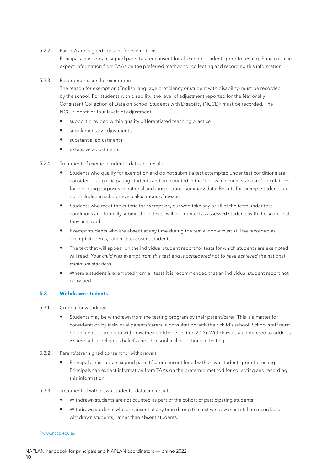5.2.2 Parent/carer signed consent for exemptions

Principals must obtain signed parent/carer consent for all exempt students prior to testing. Principals can expect information from TAAs on the preferred method for collecting and recording this information.

#### 5.2.3 Recording reason for exemption

The reason for exemption (English language proficiency or student with disability) must be recorded by the school. For students with disability, the level of adjustment reported for the Nationally Consistent Collection of Data on School Students with Disability (NCCD)<sup>2</sup> must be recorded. The NCCD identifies four levels of adjustment:

- support provided within quality differentiated teaching practice
- supplementary adjustments
- substantial adjustments
- extensive adjustments.

#### 5.2.4 Treatment of exempt students' data and results

- Students who qualify for exemption and do not submit a test attempted under test conditions are considered as participating students and are counted in the 'below minimum standard' calculations for reporting purposes in national and jurisdictional summary data. Results for exempt students are not included in school-level calculations of means.
- Students who meet the criteria for exemption, but who take any or all of the tests under test conditions and formally submit those tests, will be counted as assessed students with the score that they achieved.
- Exempt students who are absent at any time during the test window must still be recorded as exempt students, rather than absent students.
- The text that will appear on the individual student report for tests for which students are exempted will read: *Your child was exempt from this test and is considered not to have achieved the national minimum standard.*
- Where a student is exempted from all tests it is recommended that an individual student report not be issued.

#### 5.3 Withdrawn students

- 5.3.1 Criteria for withdrawal
	- Students may be withdrawn from the testing program by their parent/carer. This is a matter for consideration by individual parents/carers in consultation with their child's school. School staff must not influence parents to withdraw their child (see section 2.1.3). Withdrawals are intended to address issues such as religious beliefs and philosophical objections to testing.
- 5.3.2 Parent/carer signed consent for withdrawals
	- Principals must obtain signed parent/carer consent for all withdrawn students prior to testing. Principals can expect information from TAAs on the preferred method for collecting and recording this information.
- 5.3.3 Treatment of withdrawn students' data and results
	- Withdrawn students are not counted as part of the cohort of participating students.
	- Withdrawn students who are absent at any time during the test window must still be recorded as withdrawn students, rather than absent students.
- <sup>2</sup> www.nccd.edu.au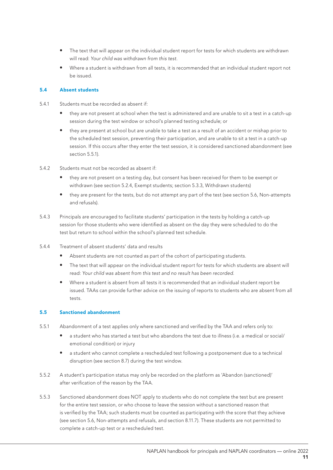- The text that will appear on the individual student report for tests for which students are withdrawn will read: *Your child was withdrawn from this test.*
- Where a student is withdrawn from all tests, it is recommended that an individual student report not be issued.

#### 5.4 Absent students

- 5.4.1 Students must be recorded as absent if:
	- they are not present at school when the test is administered and are unable to sit a test in a catch-up session during the test window or school's planned testing schedule; or
	- they are present at school but are unable to take a test as a result of an accident or mishap prior to the scheduled test session, preventing their participation, and are unable to sit a test in a catch-up session. If this occurs after they enter the test session, it is considered sanctioned abandonment (see section 5.5.1).
- 5.4.2 Students must not be recorded as absent if:
	- they are not present on a testing day, but consent has been received for them to be exempt or withdrawn (see section 5.2.4, Exempt students; section 5.3.3, Withdrawn students)
	- they are present for the tests, but do not attempt any part of the test (see section 5.6, Non-attempts and refusals).
- 5.4.3 Principals are encouraged to facilitate students' participation in the tests by holding a catch-up session for those students who were identified as absent on the day they were scheduled to do the test but return to school within the school's planned test schedule.
- 5.4.4 Treatment of absent students' data and results
	- Absent students are not counted as part of the cohort of participating students.
	- The text that will appear on the individual student report for tests for which students are absent will read: *Your child was absent from this test and no result has been recorded.*
	- Where a student is absent from all tests it is recommended that an individual student report be issued. TAAs can provide further advice on the issuing of reports to students who are absent from all tests

#### 5.5 Sanctioned abandonment

- 5.5.1 Abandonment of a test applies only where sanctioned and verified by the TAA and refers only to:
	- a student who has started a test but who abandons the test due to illness (i.e. a medical or social/ emotional condition) or injury
	- a student who cannot complete a rescheduled test following a postponement due to a technical disruption (see section 8.7) during the test window.
- 5.5.2 A student's participation status may only be recorded on the platform as 'Abandon (sanctioned)' after verification of the reason by the TAA.
- 5.5.3 Sanctioned abandonment does NOT apply to students who do not complete the test but are present for the entire test session, or who choose to leave the session without a sanctioned reason that is verified by the TAA; such students must be counted as participating with the score that they achieve (see section 5.6, Non-attempts and refusals, and section 8.11.7). These students are not permitted to complete a catch-up test or a rescheduled test.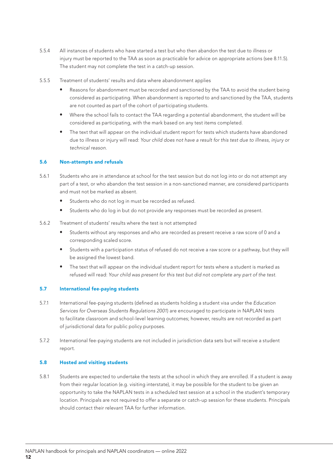- 5.5.4 All instances of students who have started a test but who then abandon the test due to illness or injury must be reported to the TAA as soon as practicable for advice on appropriate actions (see 8.11.5). The student may not complete the test in a catch-up session.
- 5.5.5 Treatment of students' results and data where abandonment applies
	- Reasons for abandonment must be recorded and sanctioned by the TAA to avoid the student being considered as participating. When abandonment is reported to and sanctioned by the TAA, students are not counted as part of the cohort of participating students.
	- Where the school fails to contact the TAA regarding a potential abandonment, the student will be considered as participating, with the mark based on any test items completed.
	- The text that will appear on the individual student report for tests which students have abandoned due to illness or injury will read: *Your child does not have a result for this test due to illness, injury or technical reason.*

#### 5.6 Non-attempts and refusals

- 5.6.1 Students who are in attendance at school for the test session but do not log into or do not attempt any part of a test, or who abandon the test session in a non-sanctioned manner, are considered participants and must not be marked as absent.
	- Students who do not log in must be recorded as refused.
	- Students who do log in but do not provide any responses must be recorded as present.
- 5.6.2 Treatment of students' results where the test is not attempted
	- Students without any responses and who are recorded as present receive a raw score of 0 and a corresponding scaled score.
	- Students with a participation status of refused do not receive a raw score or a pathway, but they will be assigned the lowest band.
	- The text that will appear on the individual student report for tests where a student is marked as refused will read: *Your child was present for this test but did not complete any part of the test.*

#### 5.7 International fee-paying students

- 5.7.1 International fee-paying students (defined as students holding a student visa under the *Education Services for Overseas Students Regulations 2001*) are encouraged to participate in NAPLAN tests to facilitate classroom and school-level learning outcomes; however, results are not recorded as part of jurisdictional data for public policy purposes.
- 5.7.2 International fee-paying students are not included in jurisdiction data sets but will receive a student report.

#### 5.8 Hosted and visiting students

5.8.1 Students are expected to undertake the tests at the school in which they are enrolled. If a student is away from their regular location (e.g. visiting interstate), it may be possible for the student to be given an opportunity to take the NAPLAN tests in a scheduled test session at a school in the student's temporary location. Principals are not required to offer a separate or catch-up session for these students. Principals should contact their relevant TAA for further information.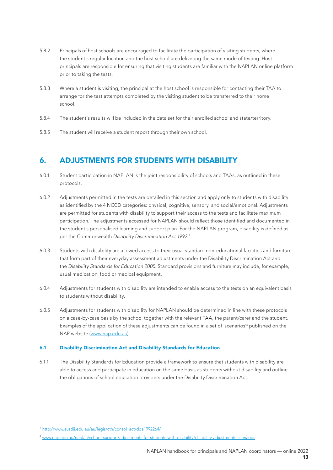- 5.8.2 Principals of host schools are encouraged to facilitate the participation of visiting students, where the student's regular location and the host school are delivering the same mode of testing. Host principals are responsible for ensuring that visiting students are familiar with the NAPLAN online platform prior to taking the tests.
- 5.8.3 Where a student is visiting, the principal at the host school is responsible for contacting their TAA to arrange for the test attempts completed by the visiting student to be transferred to their home school.
- 5.8.4 The student's results will be included in the data set for their enrolled school and state/territory.
- 5.8.5 The student will receive a student report through their own school.

## 6. ADJUSTMENTS FOR STUDENTS WITH DISABILITY

- 6.0.1 Student participation in NAPLAN is the joint responsibility of schools and TAAs, as outlined in these protocols.
- 6.0.2 Adjustments permitted in the tests are detailed in this section and apply only to students with disability as identified by the 4 NCCD categories: physical, cognitive, sensory, and social/emotional. Adjustments are permitted for students with disability to support their access to the tests and facilitate maximum participation. The adjustments accessed for NAPLAN should reflect those identified and documented in the student's personalised learning and support plan. For the NAPLAN program, disability is defined as per the Commonwealth *Disability Discrimination Act 1992*. 3
- 6.0.3 Students with disability are allowed access to their usual standard non-educational facilities and furniture that form part of their everyday assessment adjustments under the Disability Discrimination Act and the *Disability Standards for Education 2005*. Standard provisions and furniture may include, for example, usual medication, food or medical equipment.
- 6.0.4 Adjustments for students with disability are intended to enable access to the tests on an equivalent basis to students without disability.
- 6.0.5 Adjustments for students with disability for NAPLAN should be determined in line with these protocols on a case-by-case basis by the school together with the relevant TAA, the parent/carer and the student. Examples of the application of these adjustments can be found in a set of 'scenarios<sup>4</sup> published on the NAP website (www.nap.edu.au).

#### 6.1 Disability Discrimination Act and Disability Standards for Education

6.1.1 The Disability Standards for Education provide a framework to ensure that students with disability are able to access and participate in education on the same basis as students without disability and outline the obligations of school education providers under the Disability Discrimination Act.

<sup>3</sup> http://www.austlii.edu.au/au/legis/cth/consol\_act/dda1992264/

<sup>4</sup> www.nap.edu.au/naplan/school-support/adjustments-for-students-with-disability/disability-adjustments-scenarios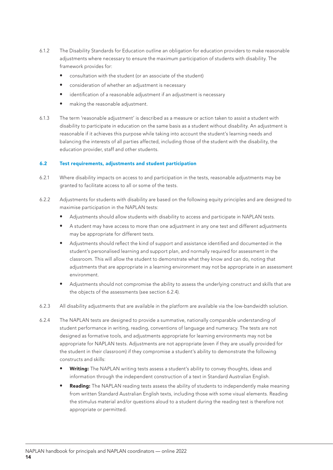- 6.1.2 The Disability Standards for Education outline an obligation for education providers to make reasonable adjustments where necessary to ensure the maximum participation of students with disability. The framework provides for:
	- consultation with the student (or an associate of the student)
	- consideration of whether an adjustment is necessary
	- identification of a reasonable adjustment if an adjustment is necessary
	- making the reasonable adjustment.
- 6.1.3 The term 'reasonable adjustment' is described as a measure or action taken to assist a student with disability to participate in education on the same basis as a student without disability. An adjustment is reasonable if it achieves this purpose while taking into account the student's learning needs and balancing the interests of all parties affected, including those of the student with the disability, the education provider, staff and other students.

#### 6.2 Test requirements, adjustments and student participation

- 6.2.1 Where disability impacts on access to and participation in the tests, reasonable adjustments may be granted to facilitate access to all or some of the tests.
- 6.2.2 Adjustments for students with disability are based on the following equity principles and are designed to maximise participation in the NAPLAN tests:
	- Adjustments should allow students with disability to access and participate in NAPLAN tests.
	- A student may have access to more than one adjustment in any one test and different adjustments may be appropriate for different tests.
	- Adjustments should reflect the kind of support and assistance identified and documented in the student's personalised learning and support plan, and normally required for assessment in the classroom. This will allow the student to demonstrate what they know and can do, noting that adjustments that are appropriate in a learning environment may not be appropriate in an assessment environment.
	- Adjustments should not compromise the ability to assess the underlying construct and skills that are the objects of the assessments (see section 6.2.4).
- 6.2.3 All disability adjustments that are available in the platform are available via the low-bandwidth solution.
- 6.2.4 The NAPLAN tests are designed to provide a summative, nationally comparable understanding of student performance in writing, reading, conventions of language and numeracy. The tests are not designed as formative tools, and adjustments appropriate for learning environments may not be appropriate for NAPLAN tests. Adjustments are not appropriate (even if they are usually provided for the student in their classroom) if they compromise a student's ability to demonstrate the following constructs and skills:
	- Writing: The NAPLAN writing tests assess a student's ability to convey thoughts, ideas and information through the independent construction of a text in Standard Australian English.
	- Reading: The NAPLAN reading tests assess the ability of students to independently make meaning from written Standard Australian English texts, including those with some visual elements. Reading the stimulus material and/or questions aloud to a student during the reading test is therefore not appropriate or permitted.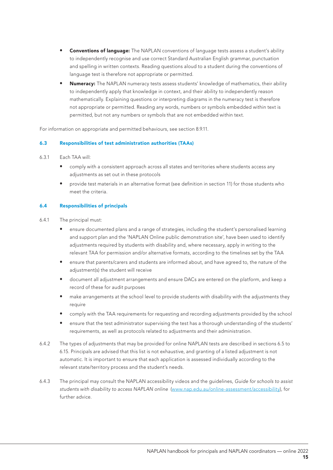- **Conventions of language:** The NAPLAN conventions of language tests assess a student's ability to independently recognise and use correct Standard Australian English grammar, punctuation and spelling in written contexts. Reading questions aloud to a student during the conventions of language test is therefore not appropriate or permitted.
- **Numeracy:** The NAPLAN numeracy tests assess students' knowledge of mathematics, their ability to independently apply that knowledge in context, and their ability to independently reason mathematically. Explaining questions or interpreting diagrams in the numeracy test is therefore not appropriate or permitted. Reading any words, numbers or symbols embedded within text is permitted, but not any numbers or symbols that are not embedded within text.

For information on appropriate and permitted behaviours, see section 8.9.11.

#### 6.3 Responsibilities of test administration authorities (TAAs)

- 6.3.1 Each TAA will:
	- comply with a consistent approach across all states and territories where students access any adjustments as set out in these protocols
	- provide test materials in an alternative format (see definition in section 11) for those students who meet the criteria.

#### 6.4 Responsibilities of principals

- 6.4.1 The principal must:
	- ensure documented plans and a range of strategies, including the student's personalised learning and support plan and the 'NAPLAN Online public demonstration site', have been used to identify adjustments required by students with disability and, where necessary, apply in writing to the relevant TAA for permission and/or alternative formats, according to the timelines set by the TAA
	- ensure that parents/carers and students are informed about, and have agreed to, the nature of the adjustment(s) the student will receive
	- document all adjustment arrangements and ensure DACs are entered on the platform, and keep a record of these for audit purposes
	- make arrangements at the school level to provide students with disability with the adjustments they require
	- comply with the TAA requirements for requesting and recording adjustments provided by the school
	- ensure that the test administrator supervising the test has a thorough understanding of the students' requirements, as well as protocols related to adjustments and their administration.
- 6.4.2 The types of adjustments that may be provided for online NAPLAN tests are described in sections 6.5 to 6.15. Principals are advised that this list is not exhaustive, and granting of a listed adjustment is not automatic. It is important to ensure that each application is assessed individually according to the relevant state/territory process and the student's needs.
- 6.4.3 The principal may consult the NAPLAN accessibility videos and the guidelines, *Guide for schools to assist students with disability to access NAPLAN online* (www.nap.edu.au/online-assessment/accessibility), for further advice.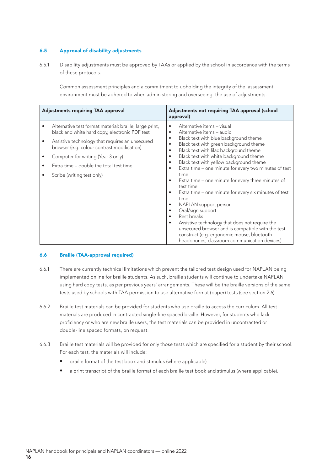#### 6.5 Approval of disability adjustments

6.5.1 Disability adjustments must be approved by TAAs or applied by the school in accordance with the terms of these protocols.

Common assessment principles and a commitment to upholding the integrity of the assessment environment must be adhered to when administering and overseeing the use of adjustments.

| <b>Adjustments requiring TAA approval</b> |                                                                                                           | Adjustments not requiring TAA approval (school<br>approval)                                                                                                                                                                                                                                                                                                                                                                                 |  |
|-------------------------------------------|-----------------------------------------------------------------------------------------------------------|---------------------------------------------------------------------------------------------------------------------------------------------------------------------------------------------------------------------------------------------------------------------------------------------------------------------------------------------------------------------------------------------------------------------------------------------|--|
| ٠                                         | Alternative test format material: braille, large print,<br>black and white hard copy, electronic PDF test | Alternative items - visual<br>٠<br>Alternative items – audio<br>٠                                                                                                                                                                                                                                                                                                                                                                           |  |
|                                           | Assistive technology that requires an unsecured<br>browser (e.g. colour contrast modification)            | Black text with blue background theme<br>$\bullet$<br>Black text with green background theme<br>$\bullet$<br>Black text with lilac background theme<br>$\bullet$                                                                                                                                                                                                                                                                            |  |
|                                           | Computer for writing (Year 3 only)                                                                        | Black text with white background theme<br>٠                                                                                                                                                                                                                                                                                                                                                                                                 |  |
| ٠                                         | Extra time – double the total test time                                                                   | Black text with yellow background theme<br>$\bullet$<br>Extra time - one minute for every two minutes of test<br>٠                                                                                                                                                                                                                                                                                                                          |  |
|                                           | Scribe (writing test only)                                                                                | time<br>Extra time – one minute for every three minutes of<br>٠<br>test time<br>Extra time – one minute for every six minutes of test<br>time<br>NAPLAN support person<br>٠<br>Oral/sign support<br>٠<br>Rest breaks<br>٠<br>Assistive technology that does not require the<br>$\bullet$<br>unsecured browser and is compatible with the test<br>construct (e.g. ergonomic mouse, bluetooth<br>headphones, classroom communication devices) |  |

#### 6.6 Braille (TAA-approval required)

- 6.6.1 There are currently technical limitations which prevent the tailored test design used for NAPLAN being implemented online for braille students. As such, braille students will continue to undertake NAPLAN using hard copy tests, as per previous years' arrangements. These will be the braille versions of the same tests used by schools with TAA permission to use alternative format (paper) tests (see section 2.6).
- 6.6.2 Braille test materials can be provided for students who use braille to access the curriculum. All test materials are produced in contracted single-line spaced braille. However, for students who lack proficiency or who are new braille users, the test materials can be provided in uncontracted or double-line spaced formats, on request.
- 6.6.3 Braille test materials will be provided for only those tests which are specified for a student by their school. For each test, the materials will include:
	- braille format of the test book and stimulus (where applicable)
	- a print transcript of the braille format of each braille test book and stimulus (where applicable).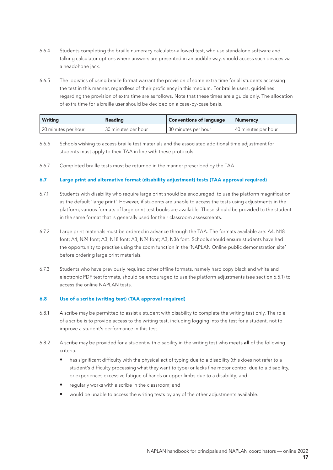- 6.6.4 Students completing the braille numeracy calculator-allowed test, who use standalone software and talking calculator options where answers are presented in an audible way, should access such devices via a headphone jack.
- 6.6.5 The logistics of using braille format warrant the provision of some extra time for all students accessing the test in this manner, regardless of their proficiency in this medium. For braille users, guidelines regarding the provision of extra time are as follows. Note that these times are a guide only. The allocation of extra time for a braille user should be decided on a case-by-case basis.

| <b>Writing</b>      | <b>Reading</b>      | <b>Conventions of language</b> | <b>Numeracy</b>     |
|---------------------|---------------------|--------------------------------|---------------------|
| 20 minutes per hour | 30 minutes per hour | 130 minutes per hour           | 40 minutes per hour |

- 6.6.6 Schools wishing to access braille test materials and the associated additional time adjustment for students must apply to their TAA in line with these protocols.
- 6.6.7 Completed braille tests must be returned in the manner prescribed by the TAA.

#### 6.7 Large print and alternative format (disability adjustment) tests (TAA approval required)

- 6.7.1 Students with disability who require large print should be encouraged to use the platform magnification as the default 'large print'. However, if students are unable to access the tests using adjustments in the platform, various formats of large print test books are available. These should be provided to the student in the same format that is generally used for their classroom assessments.
- 6.7.2 Large print materials must be ordered in advance through the TAA. The formats available are: A4, N18 font; A4, N24 font; A3, N18 font; A3, N24 font; A3, N36 font. Schools should ensure students have had the opportunity to practise using the zoom function in the 'NAPLAN Online public demonstration site' before ordering large print materials.
- 6.7.3 Students who have previously required other offline formats, namely hard copy black and white and electronic PDF test formats, should be encouraged to use the platform adjustments (see section 6.5.1) to access the online NAPLAN tests.

#### 6.8 Use of a scribe (writing test) (TAA approval required)

- 6.8.1 A scribe may be permitted to assist a student with disability to complete the writing test only. The role of a scribe is to provide access to the writing test, including logging into the test for a student, not to improve a student's performance in this test.
- 6.8.2 A scribe may be provided for a student with disability in the writing test who meets all of the following criteria:
	- has significant difficulty with the physical act of typing due to a disability (this does not refer to a student's difficulty processing what they want to type) or lacks fine motor control due to a disability, or experiences excessive fatigue of hands or upper limbs due to a disability; and
	- regularly works with a scribe in the classroom; and
	- would be unable to access the writing tests by any of the other adjustments available.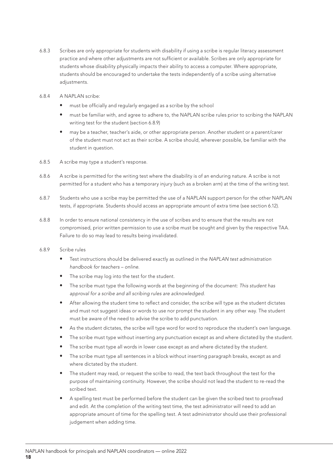- 6.8.3 Scribes are only appropriate for students with disability if using a scribe is regular literacy assessment practice and where other adjustments are not sufficient or available. Scribes are only appropriate for students whose disability physically impacts their ability to access a computer. Where appropriate, students should be encouraged to undertake the tests independently of a scribe using alternative adjustments.
- 6.8.4 A NAPLAN scribe:
	- must be officially and regularly engaged as a scribe by the school
	- must be familiar with, and agree to adhere to, the NAPLAN scribe rules prior to scribing the NAPLAN writing test for the student (section 6.8.9)
	- may be a teacher, teacher's aide, or other appropriate person. Another student or a parent/carer of the student must not act as their scribe. A scribe should, wherever possible, be familiar with the student in question.
- 6.8.5 A scribe may type a student's response.
- 6.8.6 A scribe is permitted for the writing test where the disability is of an enduring nature. A scribe is not permitted for a student who has a temporary injury (such as a broken arm) at the time of the writing test.
- 6.8.7 Students who use a scribe may be permitted the use of a NAPLAN support person for the other NAPLAN tests, if appropriate. Students should access an appropriate amount of extra time (see section 6.12).
- 6.8.8 In order to ensure national consistency in the use of scribes and to ensure that the results are not compromised, prior written permission to use a scribe must be sought and given by the respective TAA. Failure to do so may lead to results being invalidated.
- 6.8.9 Scribe rules
	- Test instructions should be delivered exactly as outlined in the *NAPLAN test administration handbook for teachers – online*.
	- The scribe may log into the test for the student.
	- The scribe must type the following words at the beginning of the document: *This student has approval for a scribe and all scribing rules are acknowledged.*
	- After allowing the student time to reflect and consider, the scribe will type as the student dictates and must not suggest ideas or words to use nor prompt the student in any other way. The student must be aware of the need to advise the scribe to add punctuation.
	- As the student dictates, the scribe will type word for word to reproduce the student's own language.
	- The scribe must type without inserting any punctuation except as and where dictated by the student.
	- The scribe must type all words in lower case except as and where dictated by the student.
	- The scribe must type all sentences in a block without inserting paragraph breaks, except as and where dictated by the student.
	- The student may read, or request the scribe to read, the text back throughout the test for the purpose of maintaining continuity. However, the scribe should not lead the student to re-read the scribed text.
	- A spelling test must be performed before the student can be given the scribed text to proofread and edit. At the completion of the writing test time, the test administrator will need to add an appropriate amount of time for the spelling test. A test administrator should use their professional judgement when adding time.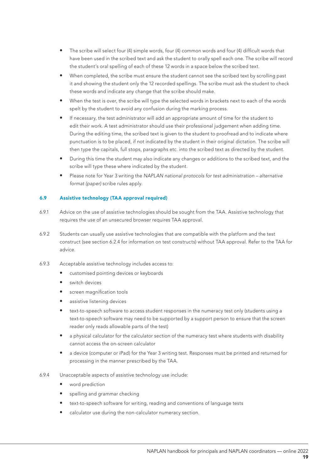- The scribe will select four (4) simple words, four (4) common words and four (4) difficult words that have been used in the scribed text and ask the student to orally spell each one. The scribe will record the student's oral spelling of each of these 12 words in a space below the scribed text.
- When completed, the scribe must ensure the student cannot see the scribed text by scrolling past it and showing the student only the 12 recorded spellings. The scribe must ask the student to check these words and indicate any change that the scribe should make.
- When the test is over, the scribe will type the selected words in brackets next to each of the words spelt by the student to avoid any confusion during the marking process.
- If necessary, the test administrator will add an appropriate amount of time for the student to edit their work. A test administrator should use their professional judgement when adding time. During the editing time, the scribed text is given to the student to proofread and to indicate where punctuation is to be placed, if not indicated by the student in their original dictation. The scribe will then type the capitals, full stops, paragraphs etc. into the scribed text as directed by the student.
- During this time the student may also indicate any changes or additions to the scribed text, and the scribe will type these where indicated by the student.
- Please note for Year 3 writing the *NAPLAN national protocols for test administration alternative format (paper)* scribe rules apply.

#### 6.9 Assistive technology (TAA approval required)

- 6.9.1 Advice on the use of assistive technologies should be sought from the TAA. Assistive technology that requires the use of an unsecured browser requires TAA approval.
- 6.9.2 Students can usually use assistive technologies that are compatible with the platform and the test construct (see section 6.2.4 for information on test constructs) without TAA approval. Refer to the TAA for advice.
- 6.9.3 Acceptable assistive technology includes access to:
	- customised pointing devices or keyboards
	- switch devices
	- screen magnification tools
	- assistive listening devices
	- text-to-speech software to access student responses in the numeracy test only (students using a text-to-speech software may need to be supported by a support person to ensure that the screen reader only reads allowable parts of the test)
	- a physical calculator for the calculator section of the numeracy test where students with disability cannot access the on-screen calculator
	- a device (computer or iPad) for the Year 3 writing test. Responses must be printed and returned for processing in the manner prescribed by the TAA.
- 6.9.4 Unacceptable aspects of assistive technology use include:
	- word prediction
	- spelling and grammar checking
	- text-to-speech software for writing, reading and conventions of language tests
	- calculator use during the non-calculator numeracy section.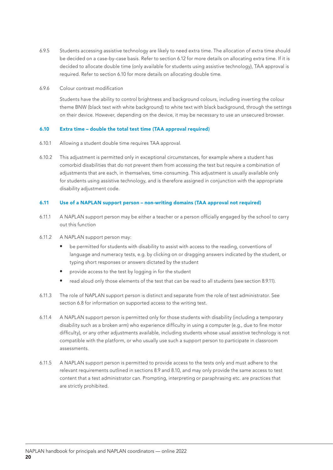- 6.9.5 Students accessing assistive technology are likely to need extra time. The allocation of extra time should be decided on a case-by-case basis. Refer to section 6.12 for more details on allocating extra time. If it is decided to allocate double time (only available for students using assistive technology), TAA approval is required. Refer to section 6.10 for more details on allocating double time.
- 6.9.6 Colour contrast modification

Students have the ability to control brightness and background colours, including inverting the colour theme BNW (black text with white background) to white text with black background, through the settings on their device. However, depending on the device, it may be necessary to use an unsecured browser.

#### 6.10 Extra time – double the total test time (TAA approval required)

- 6.10.1 Allowing a student double time requires TAA approval.
- 6.10.2 This adjustment is permitted only in exceptional circumstances, for example where a student has comorbid disabilities that do not prevent them from accessing the test but require a combination of adjustments that are each, in themselves, time-consuming. This adjustment is usually available only for students using assistive technology, and is therefore assigned in conjunction with the appropriate disability adjustment code.

#### 6.11 Use of a NAPLAN support person – non-writing domains (TAA approval not required)

- 6.11.1 A NAPLAN support person may be either a teacher or a person officially engaged by the school to carry out this function
- 6.11.2 A NAPLAN support person may:
	- be permitted for students with disability to assist with access to the reading, conventions of language and numeracy tests, e.g. by clicking on or dragging answers indicated by the student, or typing short responses or answers dictated by the student
	- provide access to the test by logging in for the student
	- read aloud only those elements of the test that can be read to all students (see section 8.9.11).
- 6.11.3 The role of NAPLAN support person is distinct and separate from the role of test administrator. See section 6.8 for information on supported access to the writing test.
- 6.11.4 A NAPLAN support person is permitted only for those students with disability (including a temporary disability such as a broken arm) who experience difficulty in using a computer (e.g., due to fine motor difficulty), or any other adjustments available, including students whose usual assistive technology is not compatible with the platform, or who usually use such a support person to participate in classroom assessments.
- 6.11.5 A NAPLAN support person is permitted to provide access to the tests only and must adhere to the relevant requirements outlined in sections 8.9 and 8.10, and may only provide the same access to test content that a test administrator can. Prompting, interpreting or paraphrasing etc. are practices that are strictly prohibited.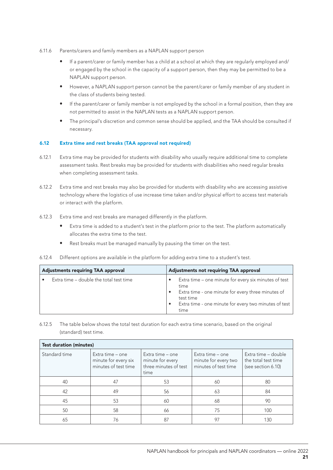- 6.11.6 Parents/carers and family members as a NAPLAN support person
	- If a parent/carer or family member has a child at a school at which they are regularly employed and/ or engaged by the school in the capacity of a support person, then they may be permitted to be a NAPLAN support person.
	- However, a NAPLAN support person cannot be the parent/carer or family member of any student in the class of students being tested.
	- If the parent/carer or family member is not employed by the school in a formal position, then they are not permitted to assist in the NAPLAN tests as a NAPLAN support person.
	- The principal's discretion and common sense should be applied, and the TAA should be consulted if necessary.

#### 6.12 Extra time and rest breaks (TAA approval not required)

- 6.12.1 Extra time may be provided for students with disability who usually require additional time to complete assessment tasks. Rest breaks may be provided for students with disabilities who need regular breaks when completing assessment tasks.
- 6.12.2 Extra time and rest breaks may also be provided for students with disability who are accessing assistive technology where the logistics of use increase time taken and/or physical effort to access test materials or interact with the platform.
- 6.12.3 Extra time and rest breaks are managed differently in the platform.
	- Extra time is added to a student's test in the platform prior to the test. The platform automatically allocates the extra time to the test.
	- Rest breaks must be managed manually by pausing the timer on the test.
- 6.12.4 Different options are available in the platform for adding extra time to a student's test.

| <b>Adjustments requiring TAA approval</b> |                                         | <b>Adjustments not requiring TAA approval</b> |                                                                                                                                                                                                   |
|-------------------------------------------|-----------------------------------------|-----------------------------------------------|---------------------------------------------------------------------------------------------------------------------------------------------------------------------------------------------------|
|                                           | Extra time – double the total test time |                                               | Extra time - one minute for every six minutes of test<br>time<br>Extra time - one minute for every three minutes of<br>test time<br>Extra time - one minute for every two minutes of test<br>time |

6.12.5 The table below shows the total test duration for each extra time scenario, based on the original (standard) test time.

| <b>Test duration (minutes)</b> |                                                                  |                                                                       |                                                                  |                                                                  |  |  |
|--------------------------------|------------------------------------------------------------------|-----------------------------------------------------------------------|------------------------------------------------------------------|------------------------------------------------------------------|--|--|
| Standard time                  | Extra time - one<br>minute for every six<br>minutes of test time | Extra time - one<br>minute for every<br>three minutes of test<br>time | Extra time - one<br>minute for every two<br>minutes of test time | Extra time - double<br>the total test time<br>(see section 6.10) |  |  |
| 40                             | 47                                                               | 53                                                                    | 60                                                               | 80                                                               |  |  |
| 42                             | 49                                                               | 56                                                                    | 63                                                               | 84                                                               |  |  |
| 45                             | 53                                                               | 60                                                                    | 68                                                               | 90                                                               |  |  |
| 50                             | 58                                                               | 66                                                                    | 75                                                               | 100                                                              |  |  |
| 65                             | 76                                                               | 87                                                                    | 97                                                               | 130                                                              |  |  |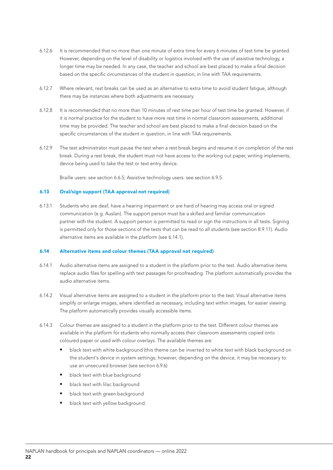- 6.12.6 It is recommended that no more than one minute of extra time for every 6 minutes of test time be granted. However, depending on the level of disability or logistics involved with the use of assistive technology, a longer time may be needed. In any case, the teacher and school are best placed to make a final decision based on the specific circumstances of the student in question, in line with TAA requirements.
- 6.12.7 Where relevant, rest breaks can be used as an alternative to extra time to avoid student fatigue, although there may be instances where both adjustments are necessary.
- 6.12.8 It is recommended that no more than 10 minutes of rest time per hour of test time be granted. However, if it is normal practice for the student to have more rest time in normal classroom assessments, additional time may be provided. The teacher and school are best placed to make a final decision based on the specific circumstances of the student in question, in line with TAA requirements.
- 6.12.9 The test administrator must pause the test when a rest break begins and resume it on completion of the rest break. During a rest break, the student must not have access to the working out paper, writing implements, device being used to take the test or text entry device.

Braille users: see section 6.6.5; Assistive technology users: see section 6.9.5.

#### 6.13 Oral/sign support (TAA approval not required)

6.13.1 Students who are deaf, have a hearing impairment or are hard of hearing may access oral or signed communication (e.g. Auslan). The support person must be a skilled and familiar communication partner with the student. A support person is permitted to read or sign the instructions in all tests. Signing is permitted only for those sections of the tests that can be read to all students (see section 8.9.11). Audio alternative items are available in the platform (see 6.14.1).

#### 6.14 Alternative items and colour themes (TAA approval not required)

- 6.14.1 Audio alternative items are assigned to a student in the platform prior to the test. Audio alternative items replace audio files for spelling with text passages for proofreading. The platform automatically provides the audio alternative items.
- 6.14.2 Visual alternative items are assigned to a student in the platform prior to the test. Visual alternative items simplify or enlarge images, where identified as necessary, including text within images, for easier viewing. The platform automatically provides visually accessible items.
- 6.14.3 Colour themes are assigned to a student in the platform prior to the test. Different colour themes are available in the platform for students who normally access their classroom assessments copied onto coloured paper or used with colour overlays. The available themes are:
	- black text with white background (this theme can be inverted to white text with black background on the student's device in system settings; however, depending on the device, it may be necessary to use an unsecured browser (see section 6.9.6)
	- black text with blue background
	- black text with lilac background
	- black text with green background
	- black text with yellow background.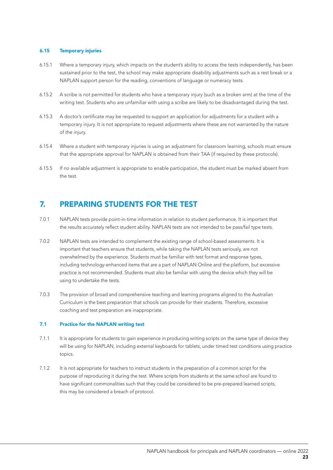#### 6.15 Temporary injuries

- 6.15.1 Where a temporary injury, which impacts on the student's ability to access the tests independently, has been sustained prior to the test, the school may make appropriate disability adjustments such as a rest break or a NAPLAN support person for the reading, conventions of language or numeracy tests.
- 6.15.2 A scribe is not permitted for students who have a temporary injury (such as a broken arm) at the time of the writing test. Students who are unfamiliar with using a scribe are likely to be disadvantaged during the test.
- 6.15.3 A doctor's certificate may be requested to support an application for adjustments for a student with a temporary injury. It is not appropriate to request adjustments where these are not warranted by the nature of the injury.
- 6.15.4 Where a student with temporary injuries is using an adjustment for classroom learning, schools must ensure that the appropriate approval for NAPLAN is obtained from their TAA (if required by these protocols).
- 6.15.5 If no available adjustment is appropriate to enable participation, the student must be marked absent from the test.

# 7. PREPARING STUDENTS FOR THE TEST

- 7.0.1 NAPLAN tests provide point-in-time information in relation to student performance. It is important that the results accurately reflect student ability. NAPLAN tests are not intended to be pass/fail type tests.
- 7.0.2 NAPLAN tests are intended to complement the existing range of school-based assessments. It is important that teachers ensure that students, while taking the NAPLAN tests seriously, are not overwhelmed by the experience. Students must be familiar with test format and response types, including technology-enhanced items that are a part of NAPLAN Online and the platform, but excessive practice is not recommended. Students must also be familiar with using the device which they will be using to undertake the tests.
- 7.0.3 The provision of broad and comprehensive teaching and learning programs aligned to the Australian Curriculum is the best preparation that schools can provide for their students. Therefore, excessive coaching and test preparation are inappropriate.

#### 7.1 Practice for the NAPLAN writing test

- 7.1.1 It is appropriate for students to gain experience in producing writing scripts on the same type of device they will be using for NAPLAN, including external keyboards for tablets, under timed test conditions using practice topics.
- 7.1.2 It is not appropriate for teachers to instruct students in the preparation of a common script for the purpose of reproducing it during the test. Where scripts from students at the same school are found to have significant commonalities such that they could be considered to be pre-prepared learned scripts, this may be considered a breach of protocol.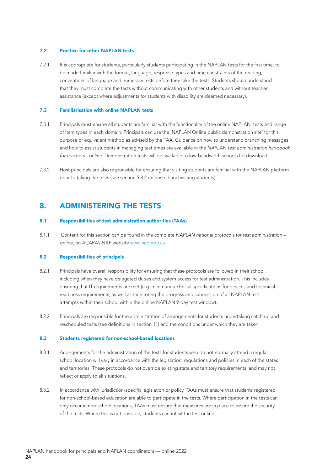#### 7.2 Practice for other NAPLAN tests

7.2.1 It is appropriate for students, particularly students participating in the NAPLAN tests for the first time, to be made familiar with the format, language, response types and time constraints of the reading, conventions of language and numeracy tests before they take the tests. Students should understand that they must complete the tests without communicating with other students and without teacher assistance (except where adjustments for students with disability are deemed necessary).

#### 7.3 Familiarisation with online NAPLAN tests

- 7.3.1 Principals must ensure all students are familiar with the functionality of the online NAPLAN tests and range of item types in each domain. Principals can use the 'NAPLAN Online public demonstration site' for this purpose or equivalent method as advised by the TAA. Guidance on how to understand branching messages and how to assist students in managing test times are available in the *NAPLAN test administration handbook for teachers - online*. Demonstration tests will be available to low-bandwidth schools for download.
- 7.3.2 Host principals are also responsible for ensuring that visiting students are familiar with the NAPLAN platform prior to taking the tests (see section 5.8.2 on hosted and visiting students).

### 8. ADMINISTERING THE TESTS

#### 8.1 Responsibilities of test administration authorities (TAAs)

8.1.1 Content for this section can be found in the complete *NAPLAN national protocols for test administration – online*, on ACARA's NAP website www.nap.edu.au.

#### 8.2 Responsibilities of principals

- 8.2.1 Principals have overall responsibility for ensuring that these protocols are followed in their school, including when they have delegated duties and system access for test administration. This includes ensuring that IT requirements are met (e.g. minimum technical specifications for devices and technical readiness requirements, as well as monitoring the progress and submission of all NAPLAN test attempts within their school within the online NAPLAN 9-day test window).
- 8.2.2 Principals are responsible for the administration of arrangements for students undertaking catch-up and rescheduled tests (see definitions in section 11) and the conditions under which they are taken.

#### 8.3 Students registered for non-school-based locations

- 8.3.1 Arrangements for the administration of the tests for students who do not normally attend a regular school location will vary in accordance with the legislation, regulations and policies in each of the states and territories. These protocols do not override existing state and territory requirements, and may not reflect or apply to all situations.
- 8.3.2 In accordance with jurisdiction-specific legislation or policy, TAAs must ensure that students registered for non-school-based education are able to participate in the tests. Where participation in the tests can only occur in non-school locations, TAAs must ensure that measures are in place to assure the security of the tests. Where this is not possible, students cannot sit the test online.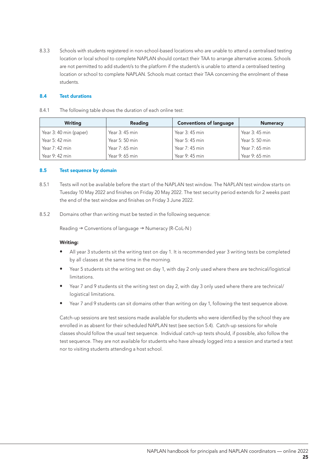8.3.3 Schools with students registered in non-school-based locations who are unable to attend a centralised testing location or local school to complete NAPLAN should contact their TAA to arrange alternative access. Schools are not permitted to add student/s to the platform if the student/s is unable to attend a centralised testing location or school to complete NAPLAN. Schools must contact their TAA concerning the enrolment of these students.

#### 8.4 Test durations

| 8.4.1<br>The following table shows the duration of each online test: |  |
|----------------------------------------------------------------------|--|
|----------------------------------------------------------------------|--|

| <b>Writing</b>         | <b>Reading</b> | <b>Conventions of language</b> | <b>Numeracy</b> |
|------------------------|----------------|--------------------------------|-----------------|
| Year 3: 40 min (paper) | Year 3: 45 min | Year 3: 45 min                 | Year 3: 45 min  |
| Year 5: 42 min         | Year 5: 50 min | Year 5: 45 min                 | Year 5: 50 min  |
| Year 7: 42 min         | Year 7: 65 min | Year 7: 45 min                 | Year 7: 65 min  |
| Year $9:42$ min        | Year 9: 65 min | Year $9:45$ min                | Year 9: 65 min  |

#### 8.5 Test sequence by domain

- 8.5.1 Tests will not be available before the start of the NAPLAN test window. The NAPLAN test window starts on Tuesday 10 May 2022 and finishes on Friday 20 May 2022. The test security period extends for 2 weeks past the end of the test window and finishes on Friday 3 June 2022.
- 8.5.2 Domains other than writing must be tested in the following sequence:

Reading  $\rightarrow$  Conventions of language  $\rightarrow$  Numeracy (R-CoL-N)

#### Writing:

- All year 3 students sit the writing test on day 1. It is recommended year 3 writing tests be completed by all classes at the same time in the morning.
- Year 5 students sit the writing test on day 1, with day 2 only used where there are technical/logistical limitations.
- Year 7 and 9 students sit the writing test on day 2, with day 3 only used where there are technical/ logistical limitations.
- Year 7 and 9 students can sit domains other than writing on day 1, following the test sequence above.

Catch-up sessions are test sessions made available for students who were identified by the school they are enrolled in as absent for their scheduled NAPLAN test (see section 5.4). Catch-up sessions for whole classes should follow the usual test sequence. Individual catch-up tests should, if possible, also follow the test sequence. They are not available for students who have already logged into a session and started a test nor to visiting students attending a host school.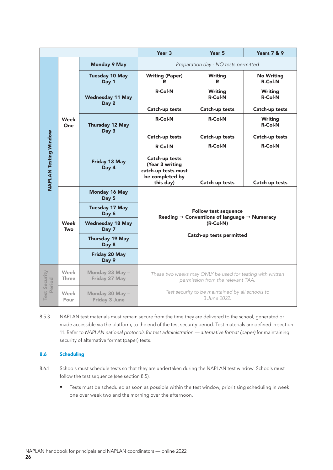|                                |                               | Year <sub>3</sub>                       | <b>Years 7 &amp; 9</b>                                                                                                                             |                                      |                                     |
|--------------------------------|-------------------------------|-----------------------------------------|----------------------------------------------------------------------------------------------------------------------------------------------------|--------------------------------------|-------------------------------------|
|                                |                               | <b>Monday 9 May</b>                     |                                                                                                                                                    | Preparation day - NO tests permitted |                                     |
|                                |                               | <b>Tuesday 10 May</b><br>Day 1          | <b>Writing (Paper)</b><br>R                                                                                                                        | <b>Writing</b><br>R                  | <b>No Writing</b><br><b>R-Col-N</b> |
|                                |                               | <b>Wednesday 11 May</b><br>Day 2        | $R$ -Col-N                                                                                                                                         | <b>Writing</b><br><b>R-Col-N</b>     | Writing<br><b>R-Col-N</b>           |
|                                |                               |                                         | Catch-up tests                                                                                                                                     | Catch-up tests                       | Catch-up tests                      |
|                                | Week<br><b>One</b>            | Thursday 12 May<br>Day 3                | <b>R-Col-N</b>                                                                                                                                     | <b>R-Col-N</b>                       | Writing<br><b>R-Col-N</b>           |
|                                |                               |                                         | Catch-up tests                                                                                                                                     | Catch-up tests                       | Catch-up tests                      |
|                                |                               |                                         | <b>R-Col-N</b>                                                                                                                                     | $R$ -Col-N                           | <b>R-Col-N</b>                      |
| <b>NAPLAN Testing Window</b>   |                               | Friday 13 May<br>Day 4                  | Catch-up tests<br>(Year 3 writing<br>catch-up tests must<br>be completed by<br>this day)                                                           | Catch-up tests                       | Catch-up tests                      |
|                                | <b>Monday 16 May</b><br>Day 5 |                                         |                                                                                                                                                    |                                      |                                     |
|                                |                               | <b>Tuesday 17 May</b><br>Day 6          | <b>Follow test sequence</b><br>Reading $\rightarrow$ Conventions of language $\rightarrow$ Numeracy<br>$(R$ -Col-N $)$<br>Catch-up tests permitted |                                      |                                     |
|                                | Week<br>Two                   | <b>Wednesday 18 May</b><br>Day 7        |                                                                                                                                                    |                                      |                                     |
|                                |                               | <b>Thursday 19 May</b><br>Day 8         |                                                                                                                                                    |                                      |                                     |
|                                |                               | <b>Friday 20 May</b><br>Day 9           |                                                                                                                                                    |                                      |                                     |
| <b>Test Security</b><br>Period | Week<br><b>Three</b>          | Monday 23 May -<br>Friday 27 May        | These two weeks may ONLY be used for testing with written<br>permission from the relevant TAA.                                                     |                                      |                                     |
|                                | Week<br>Four                  | Monday 30 May -<br><b>Friday 3 June</b> | Test security to be maintained by all schools to<br>3 June 2022.                                                                                   |                                      |                                     |

8.5.3 NAPLAN test materials must remain secure from the time they are delivered to the school, generated or made accessible via the platform, to the end of the test security period. Test materials are defined in section 11. Refer to *NAPLAN national protocols for test administration — alternative format (paper)* for maintaining security of alternative format (paper) tests.

#### 8.6 Scheduling

- 8.6.1 Schools must schedule tests so that they are undertaken during the NAPLAN test window. Schools must follow the test sequence (see section 8.5).
	- Tests must be scheduled as soon as possible within the test window, prioritising scheduling in week one over week two and the morning over the afternoon.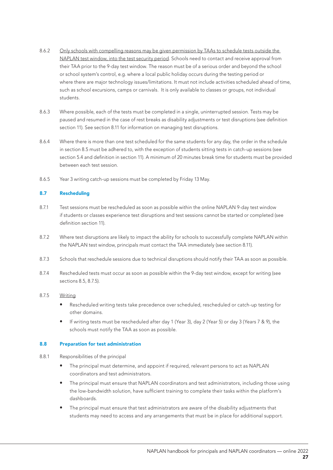- 8.6.2 Only schools with compelling reasons may be given permission by TAAs to schedule tests outside the NAPLAN test window, into the test security period. Schools need to contact and receive approval from their TAA prior to the 9-day test window. The reason must be of a serious order and beyond the school or school system's control, e.g. where a local public holiday occurs during the testing period or where there are major technology issues/limitations. It must not include activities scheduled ahead of time, such as school excursions, camps or carnivals. It is only available to classes or groups, not individual students.
- 8.6.3 Where possible, each of the tests must be completed in a single, uninterrupted session. Tests may be paused and resumed in the case of rest breaks as disability adjustments or test disruptions (see definition section 11). See section 8.11 for information on managing test disruptions.
- 8.6.4 Where there is more than one test scheduled for the same students for any day, the order in the schedule in section 8.5 must be adhered to, with the exception of students sitting tests in catch-up sessions (see section 5.4 and definition in section 11). A minimum of 20 minutes break time for students must be provided between each test session.
- 8.6.5 Year 3 writing catch-up sessions must be completed by Friday 13 May.

#### 8.7 Rescheduling

- 8.7.1 Test sessions must be rescheduled as soon as possible within the online NAPLAN 9-day test window if students or classes experience test disruptions and test sessions cannot be started or completed (see definition section 11).
- 8.7.2 Where test disruptions are likely to impact the ability for schools to successfully complete NAPLAN within the NAPLAN test window, principals must contact the TAA immediately (see section 8.11).
- 8.7.3 Schools that reschedule sessions due to technical disruptions should notify their TAA as soon as possible.
- 8.7.4 Rescheduled tests must occur as soon as possible within the 9-day test window, except for writing (see sections 8.5, 8.7.5).
- 8.7.5 Writing
	- Rescheduled writing tests take precedence over scheduled, rescheduled or catch-up testing for other domains.
	- If writing tests must be rescheduled after day 1 (Year 3), day 2 (Year 5) or day 3 (Years 7 & 9), the schools must notify the TAA as soon as possible.

#### 8.8 Preparation for test administration

- 8.8.1 Responsibilities of the principal
	- The principal must determine, and appoint if required, relevant persons to act as NAPLAN coordinators and test administrators.
	- The principal must ensure that NAPLAN coordinators and test administrators, including those using the low-bandwidth solution, have sufficient training to complete their tasks within the platform's dashboards.
	- The principal must ensure that test administrators are aware of the disability adjustments that students may need to access and any arrangements that must be in place for additional support.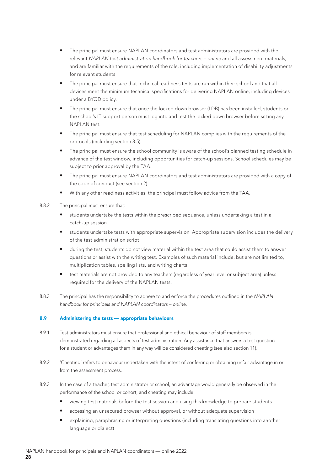- The principal must ensure NAPLAN coordinators and test administrators are provided with the relevant *NAPLAN test administration handbook for teachers – online* and all assessment materials, and are familiar with the requirements of the role, including implementation of disability adjustments for relevant students.
- The principal must ensure that technical readiness tests are run within their school and that all devices meet the minimum technical specifications for delivering NAPLAN online, including devices under a BYOD policy.
- The principal must ensure that once the locked down browser (LDB) has been installed, students or the school's IT support person must log into and test the locked down browser before sitting any NAPLAN test.
- The principal must ensure that test scheduling for NAPLAN complies with the requirements of the protocols (including section 8.5).
- The principal must ensure the school community is aware of the school's planned testing schedule in advance of the test window, including opportunities for catch-up sessions. School schedules may be subject to prior approval by the TAA.
- The principal must ensure NAPLAN coordinators and test administrators are provided with a copy of the code of conduct (see section 2).
- With any other readiness activities, the principal must follow advice from the TAA.
- 8.8.2 The principal must ensure that:
	- students undertake the tests within the prescribed sequence, unless undertaking a test in a catch-up session
	- students undertake tests with appropriate supervision. Appropriate supervision includes the delivery of the test administration script
	- during the test, students do not view material within the test area that could assist them to answer questions or assist with the writing test. Examples of such material include, but are not limited to, multiplication tables, spelling lists, and writing charts
	- test materials are not provided to any teachers (regardless of year level or subject area) unless required for the delivery of the NAPLAN tests.
- 8.8.3 The principal has the responsibility to adhere to and enforce the procedures outlined in the *NAPLAN handbook for principals and NAPLAN coordinators – online.*

#### 8.9 Administering the tests — appropriate behaviours

- 8.9.1 Test administrators must ensure that professional and ethical behaviour of staff members is demonstrated regarding all aspects of test administration. Any assistance that answers a test question for a student or advantages them in any way will be considered cheating (see also section 11).
- 8.9.2 'Cheating' refers to behaviour undertaken with the intent of conferring or obtaining unfair advantage in or from the assessment process.
- 8.9.3 In the case of a teacher, test administrator or school, an advantage would generally be observed in the performance of the school or cohort, and cheating may include:
	- viewing test materials before the test session and using this knowledge to prepare students
	- accessing an unsecured browser without approval, or without adequate supervision
	- explaining, paraphrasing or interpreting questions (including translating questions into another language or dialect)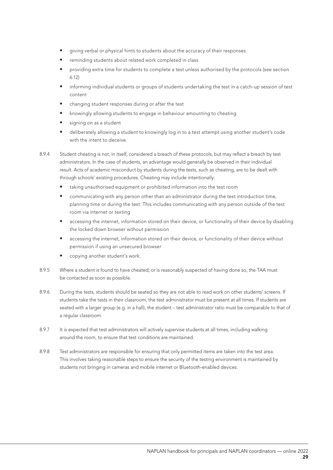- giving verbal or physical hints to students about the accuracy of their responses
- reminding students about related work completed in class
- providing extra time for students to complete a test unless authorised by the protocols (see section 6.12)
- informing individual students or groups of students undertaking the test in a catch-up session of test content
- changing student responses during or after the test
- knowingly allowing students to engage in behaviour amounting to cheating
- signing on as a student
- deliberately allowing a student to knowingly log in to a test attempt using another student's code with the intent to deceive.
- 8.9.4 Student cheating is not, in itself, considered a breach of these protocols, but may reflect a breach by test administrators. In the case of students, an advantage would generally be observed in their individual result. Acts of academic misconduct by students during the tests, such as cheating, are to be dealt with through schools' existing procedures. Cheating may include intentionally:
	- taking unauthorised equipment or prohibited information into the test room
	- communicating with any person other than an administrator during the test introduction time, planning time or during the test. This includes communicating with any person outside of the test room via internet or texting
	- accessing the internet, information stored on their device, or functionality of their device by disabling the locked down browser without permission
	- accessing the internet, information stored on their device, or functionality of their device without permission if using an unsecured browser
	- copying another student's work.
- 8.9.5 Where a student is found to have cheated, or is reasonably suspected of having done so, the TAA must be contacted as soon as possible.
- 8.9.6 During the tests, students should be seated so they are not able to read work on other students' screens. If students take the tests in their classroom, the test administrator must be present at all times. If students are seated with a larger group (e.g. in a hall), the student – test administrator ratio must be comparable to that of a regular classroom.
- 8.9.7 It is expected that test administrators will actively supervise students at all times, including walking around the room, to ensure that test conditions are maintained.
- 8.9.8 Test administrators are responsible for ensuring that only permitted items are taken into the test area. This involves taking reasonable steps to ensure the security of the testing environment is maintained by students not bringing in cameras and mobile internet or Bluetooth-enabled devices.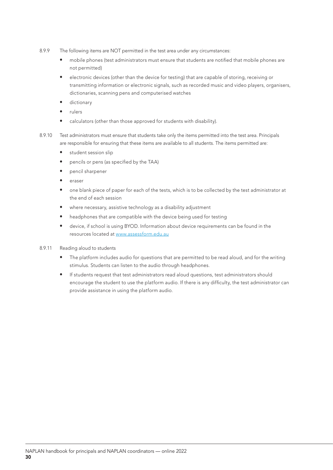- 8.9.9 The following items are NOT permitted in the test area under any circumstances:
	- mobile phones (test administrators must ensure that students are notified that mobile phones are not permitted)
	- electronic devices (other than the device for testing) that are capable of storing, receiving or transmitting information or electronic signals, such as recorded music and video players, organisers, dictionaries, scanning pens and computerised watches
	- dictionary
	- rulers
	- calculators (other than those approved for students with disability).
- 8.9.10 Test administrators must ensure that students take only the items permitted into the test area. Principals are responsible for ensuring that these items are available to all students. The items permitted are:
	- student session slip
	- pencils or pens (as specified by the TAA)
	- pencil sharpener
	- eraser
	- one blank piece of paper for each of the tests, which is to be collected by the test administrator at the end of each session
	- where necessary, assistive technology as a disability adjustment
	- headphones that are compatible with the device being used for testing
	- device, if school is using BYOD. Information about device requirements can be found in the resources located at www.assessform.edu.au
- 8.9.11 Reading aloud to students
	- The platform includes audio for questions that are permitted to be read aloud, and for the writing stimulus. Students can listen to the audio through headphones.
	- If students request that test administrators read aloud questions, test administrators should encourage the student to use the platform audio. If there is any difficulty, the test administrator can provide assistance in using the platform audio.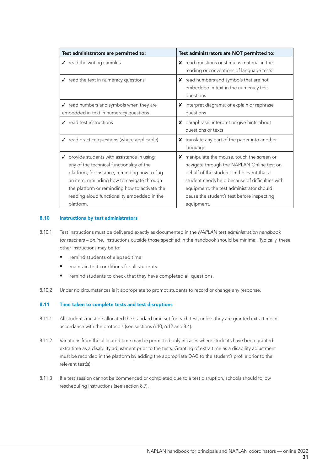| Test administrators are NOT permitted to:                                                                                                                                                                                                                                                             |
|-------------------------------------------------------------------------------------------------------------------------------------------------------------------------------------------------------------------------------------------------------------------------------------------------------|
| read questions or stimulus material in the<br>x.<br>reading or conventions of language tests                                                                                                                                                                                                          |
| read numbers and symbols that are not<br>X.<br>embedded in text in the numeracy test<br>questions                                                                                                                                                                                                     |
| interpret diagrams, or explain or rephrase<br>X.<br>questions                                                                                                                                                                                                                                         |
| paraphrase, interpret or give hints about<br>x<br>questions or texts                                                                                                                                                                                                                                  |
| X translate any part of the paper into another<br>language                                                                                                                                                                                                                                            |
| manipulate the mouse, touch the screen or<br>x<br>navigate through the NAPLAN Online test on<br>behalf of the student. In the event that a<br>student needs help because of difficulties with<br>equipment, the test administrator should<br>pause the student's test before inspecting<br>equipment. |
|                                                                                                                                                                                                                                                                                                       |

#### 8.10 Instructions by test administrators

- 8.10.1 Test instructions must be delivered exactly as documented in the *NAPLAN test administration handbook for teachers – online*. Instructions outside those specified in the handbook should be minimal. Typically, these other instructions may be to:
	- remind students of elapsed time
	- maintain test conditions for all students
	- remind students to check that they have completed all questions.
- 8.10.2 Under no circumstances is it appropriate to prompt students to record or change any response.

#### 8.11 Time taken to complete tests and test disruptions

- 8.11.1 All students must be allocated the standard time set for each test, unless they are granted extra time in accordance with the protocols (see sections 6.10, 6.12 and 8.4).
- 8.11.2 Variations from the allocated time may be permitted only in cases where students have been granted extra time as a disability adjustment prior to the tests. Granting of extra time as a disability adjustment must be recorded in the platform by adding the appropriate DAC to the student's profile prior to the relevant test(s).
- 8.11.3 If a test session cannot be commenced or completed due to a test disruption, schools should follow rescheduling instructions (see section 8.7).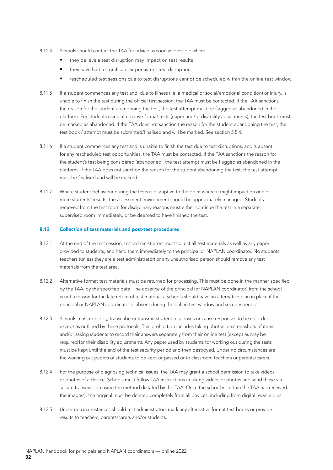- 8.11.4 Schools should contact the TAA for advice as soon as possible where:
	- they believe a test disruption may impact on test results
	- they have had a significant or persistent test disruption
	- rescheduled test sessions due to test disruptions cannot be scheduled within the online test window.
- 8.11.5 If a student commences any test and, due to illness (i.e. a medical or social/emotional condition) or injury, is unable to finish the test during the official test session, the TAA must be contacted. If the TAA sanctions the reason for the student abandoning the test, the test attempt must be flagged as abandoned in the platform. For students using alternative format tests (paper and/or disability adjustments), the test book must be marked as abandoned. If the TAA does not sanction the reason for the student abandoning the test, the test book / attempt must be submitted/finalised and will be marked. See section 5.5.4.
- 8.11.6 If a student commences any test and is unable to finish the test due to test disruptions, and is absent for any rescheduled test opportunities, the TAA must be contacted. If the TAA sanctions the reason for the student's test being considered 'abandoned', the test attempt must be flagged as abandoned in the platform. If the TAA does not sanction the reason for the student abandoning the test, the test attempt must be finalised and will be marked.
- 8.11.7 Where student behaviour during the tests is disruptive to the point where it might impact on one or more students' results, the assessment environment should be appropriately managed. Students removed from the test room for disciplinary reasons must either continue the test in a separate supervised room immediately, or be deemed to have finished the test.

#### 8.12 Collection of test materials and post-test procedures

- 8.12.1 At the end of the test session, test administrators must collect all test materials as well as any paper provided to students, and hand them immediately to the principal or NAPLAN coordinator. No students, teachers (unless they are a test administrator) or any unauthorised person should remove any test materials from the test area.
- 8.12.2 Alternative format test materials must be returned for processing. This must be done in the manner specified by the TAA, by the specified date. The absence of the principal (or NAPLAN coordinator) from the school is not a reason for the late return of test materials. Schools should have an alternative plan in place if the principal or NAPLAN coordinator is absent during the online test window and security period.
- 8.12.3 Schools must not copy, transcribe or transmit student responses or cause responses to be recorded except as outlined by these protocols. This prohibition includes taking photos or screenshots of items and/or asking students to record their answers separately from their online test (except as may be required for their disability adjustment). Any paper used by students for working out during the tests must be kept until the end of the test security period and then destroyed. Under no circumstances are the working out papers of students to be kept or passed onto classroom teachers or parents/carers.
- 8.12.4 For the purpose of diagnosing technical issues, the TAA may grant a school permission to take videos or photos of a device. Schools must follow TAA instructions in taking videos or photos and send these via secure transmission using the method dictated by the TAA. Once the school is certain the TAA has received the image(s), the original must be deleted completely from all devices, including from digital recycle bins.
- 8.12.5 Under no circumstances should test administrators mark any alternative format test books or provide results to teachers, parents/carers and/or students.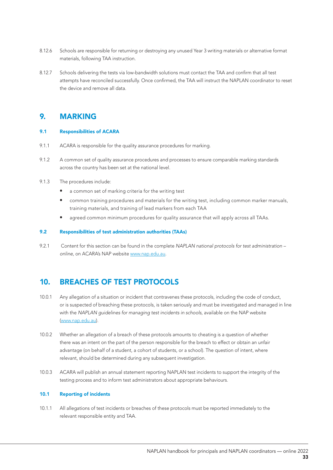- 8.12.6 Schools are responsible for returning or destroying any unused Year 3 writing materials or alternative format materials, following TAA instruction.
- 8.12.7 Schools delivering the tests via low-bandwidth solutions must contact the TAA and confirm that all test attempts have reconciled successfully. Once confirmed, the TAA will instruct the NAPLAN coordinator to reset the device and remove all data.

## 9. MARKING

## 9.1 Responsibilities of ACARA

- 9.1.1 ACARA is responsible for the quality assurance procedures for marking.
- 9.1.2 A common set of quality assurance procedures and processes to ensure comparable marking standards across the country has been set at the national level.
- 9.1.3 The procedures include:
	- a common set of marking criteria for the writing test
	- common training procedures and materials for the writing test, including common marker manuals, training materials, and training of lead markers from each TAA
	- agreed common minimum procedures for quality assurance that will apply across all TAAs.

#### 9.2 Responsibilities of test administration authorities (TAAs)

9.2.1 Content for this section can be found in the complete *NAPLAN national protocols for test administration – online*, on ACARA's NAP website www.nap.edu.au.

## 10. BREACHES OF TEST PROTOCOLS

- 10.0.1 Any allegation of a situation or incident that contravenes these protocols, including the code of conduct, or is suspected of breaching these protocols, is taken seriously and must be investigated and managed in line with the *NAPLAN guidelines for managing test incidents in schools*, available on the NAP website (www.nap.edu.au).
- 10.0.2 Whether an allegation of a breach of these protocols amounts to cheating is a question of whether there was an intent on the part of the person responsible for the breach to effect or obtain an unfair advantage (on behalf of a student, a cohort of students, or a school). The question of intent, where relevant, should be determined during any subsequent investigation.
- 10.0.3 ACARA will publish an annual statement reporting NAPLAN test incidents to support the integrity of the testing process and to inform test administrators about appropriate behaviours.

## 10.1 Reporting of incidents

10.1.1 All allegations of test incidents or breaches of these protocols must be reported immediately to the relevant responsible entity and TAA.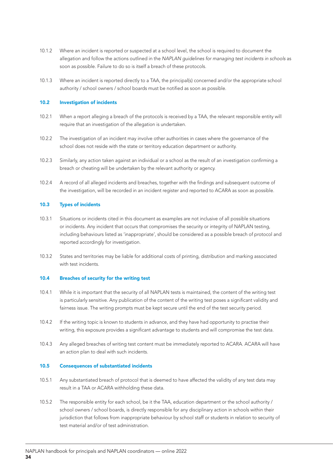- 10.1.2 Where an incident is reported or suspected at a school level, the school is required to document the allegation and follow the actions outlined in the *NAPLAN guidelines for managing test incidents in schools* as soon as possible. Failure to do so is itself a breach of these protocols.
- 10.1.3 Where an incident is reported directly to a TAA, the principal(s) concerned and/or the appropriate school authority / school owners / school boards must be notified as soon as possible.

#### 10.2 Investigation of incidents

- 10.2.1 When a report alleging a breach of the protocols is received by a TAA, the relevant responsible entity will require that an investigation of the allegation is undertaken.
- 10.2.2 The investigation of an incident may involve other authorities in cases where the governance of the school does not reside with the state or territory education department or authority.
- 10.2.3 Similarly, any action taken against an individual or a school as the result of an investigation confirming a breach or cheating will be undertaken by the relevant authority or agency.
- 10.2.4 A record of all alleged incidents and breaches, together with the findings and subsequent outcome of the investigation, will be recorded in an incident register and reported to ACARA as soon as possible.

## 10.3 Types of incidents

- 10.3.1 Situations or incidents cited in this document as examples are not inclusive of all possible situations or incidents. Any incident that occurs that compromises the security or integrity of NAPLAN testing, including behaviours listed as 'inappropriate', should be considered as a possible breach of protocol and reported accordingly for investigation.
- 10.3.2 States and territories may be liable for additional costs of printing, distribution and marking associated with test incidents

## 10.4 Breaches of security for the writing test

- 10.4.1 While it is important that the security of all NAPLAN tests is maintained, the content of the writing test is particularly sensitive. Any publication of the content of the writing test poses a significant validity and fairness issue. The writing prompts must be kept secure until the end of the test security period.
- 10.4.2 If the writing topic is known to students in advance, and they have had opportunity to practise their writing, this exposure provides a significant advantage to students and will compromise the test data.
- 10.4.3 Any alleged breaches of writing test content must be immediately reported to ACARA. ACARA will have an action plan to deal with such incidents.

#### 10.5 Consequences of substantiated incidents

- 10.5.1 Any substantiated breach of protocol that is deemed to have affected the validity of any test data may result in a TAA or ACARA withholding these data.
- 10.5.2 The responsible entity for each school, be it the TAA, education department or the school authority / school owners / school boards, is directly responsible for any disciplinary action in schools within their jurisdiction that follows from inappropriate behaviour by school staff or students in relation to security of test material and/or of test administration.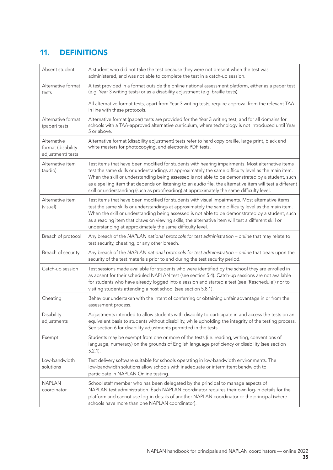# 11. DEFINITIONS

| Absent student                                         | A student who did not take the test because they were not present when the test was<br>administered, and was not able to complete the test in a catch-up session.                                                                                                                                                                                                                                                                                                                                                     |
|--------------------------------------------------------|-----------------------------------------------------------------------------------------------------------------------------------------------------------------------------------------------------------------------------------------------------------------------------------------------------------------------------------------------------------------------------------------------------------------------------------------------------------------------------------------------------------------------|
| Alternative format<br>tests                            | A test provided in a format outside the online national assessment platform, either as a paper test<br>(e.g. Year 3 writing tests) or as a disability adjustment (e.g. braille tests).                                                                                                                                                                                                                                                                                                                                |
|                                                        | All alternative format tests, apart from Year 3 writing tests, require approval from the relevant TAA<br>in line with these protocols.                                                                                                                                                                                                                                                                                                                                                                                |
| Alternative format<br>(paper) tests                    | Alternative format (paper) tests are provided for the Year 3 writing test, and for all domains for<br>schools with a TAA-approved alternative curriculum, where technology is not introduced until Year<br>5 or above.                                                                                                                                                                                                                                                                                                |
| Alternative<br>format (disability<br>adjustment) tests | Alternative format (disability adjustment) tests refer to hard copy braille, large print, black and<br>white masters for photocopying, and electronic PDF tests.                                                                                                                                                                                                                                                                                                                                                      |
| Alternative item<br>(audio)                            | Test items that have been modified for students with hearing impairments. Most alternative items<br>test the same skills or understandings at approximately the same difficulty level as the main item.<br>When the skill or understanding being assessed is not able to be demonstrated by a student, such<br>as a spelling item that depends on listening to an audio file, the alternative item will test a different<br>skill or understanding (such as proofreading) at approximately the same difficulty level. |
| Alternative item<br>(visual)                           | Test items that have been modified for students with visual impairments. Most alternative items<br>test the same skills or understandings at approximately the same difficulty level as the main item.<br>When the skill or understanding being assessed is not able to be demonstrated by a student, such<br>as a reading item that draws on viewing skills, the alternative item will test a different skill or<br>understanding at approximately the same difficulty level.                                        |
| Breach of protocol                                     | Any breach of the NAPLAN national protocols for test administration - online that may relate to<br>test security, cheating, or any other breach.                                                                                                                                                                                                                                                                                                                                                                      |
| Breach of security                                     | Any breach of the NAPLAN national protocols for test administration - online that bears upon the<br>security of the test materials prior to and during the test security period.                                                                                                                                                                                                                                                                                                                                      |
| Catch-up session                                       | Test sessions made available for students who were identified by the school they are enrolled in<br>as absent for their scheduled NAPLAN test (see section 5.4). Catch-up sessions are not available<br>for students who have already logged into a session and started a test (see 'Reschedule') nor to<br>visiting students attending a host school (see section 5.8.1).                                                                                                                                            |
| Cheating                                               | Behaviour undertaken with the intent of conferring or obtaining unfair advantage in or from the<br>assessment process.                                                                                                                                                                                                                                                                                                                                                                                                |
| Disability<br>adjustments                              | Adjustments intended to allow students with disability to participate in and access the tests on an<br>equivalent basis to students without disability, while upholding the integrity of the testing process.<br>See section 6 for disability adjustments permitted in the tests.                                                                                                                                                                                                                                     |
| Exempt                                                 | Students may be exempt from one or more of the tests (i.e. reading, writing, conventions of<br>language, numeracy) on the grounds of English language proficiency or disability (see section<br>$5.2.1$ ).                                                                                                                                                                                                                                                                                                            |
| Low-bandwidth<br>solutions                             | Test delivery software suitable for schools operating in low-bandwidth environments. The<br>low-bandwidth solutions allow schools with inadequate or intermittent bandwidth to<br>participate in NAPLAN Online testing.                                                                                                                                                                                                                                                                                               |
| <b>NAPLAN</b><br>coordinator                           | School staff member who has been delegated by the principal to manage aspects of<br>NAPLAN test administration. Each NAPLAN coordinator requires their own log-in details for the<br>platform and cannot use log-in details of another NAPLAN coordinator or the principal (where<br>schools have more than one NAPLAN coordinator).                                                                                                                                                                                  |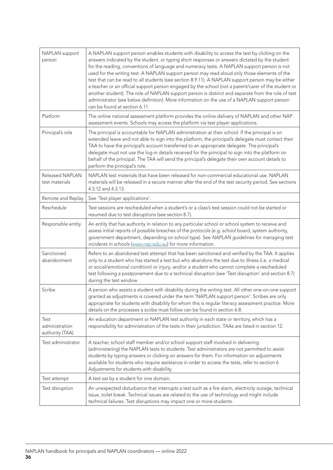| NAPLAN support<br>person                  | A NAPLAN support person enables students with disability to access the test by clicking on the<br>answers indicated by the student, or typing short responses or answers dictated by the student<br>for the reading, conventions of language and numeracy tests. A NAPLAN support person is not<br>used for the writing test. A NAPLAN support person may read aloud only those elements of the<br>test that can be read to all students (see section 8.9.11). A NAPLAN support person may be either<br>a teacher or an official support person engaged by the school (not a parent/carer of the student or<br>another student). The role of NAPLAN support person is distinct and separate from the role of test<br>administrator (see below definition). More information on the use of a NAPLAN support person<br>can be found at section 6.11. |
|-------------------------------------------|----------------------------------------------------------------------------------------------------------------------------------------------------------------------------------------------------------------------------------------------------------------------------------------------------------------------------------------------------------------------------------------------------------------------------------------------------------------------------------------------------------------------------------------------------------------------------------------------------------------------------------------------------------------------------------------------------------------------------------------------------------------------------------------------------------------------------------------------------|
| Platform                                  | The online national assessment platform provides the online delivery of NAPLAN and other NAP<br>assessment events. Schools may access the platform via test player applications.                                                                                                                                                                                                                                                                                                                                                                                                                                                                                                                                                                                                                                                                   |
| Principal's role                          | The principal is accountable for NAPLAN administration at their school. If the principal is on<br>extended leave and not able to sign into the platform, the principal's delegate must contact their<br>TAA to have the principal's account transferred to an appropriate delegate. The principal's<br>delegate must not use the log-in details received for the principal to sign into the platform on<br>behalf of the principal. The TAA will send the principal's delegate their own account details to<br>perform the principal's role.                                                                                                                                                                                                                                                                                                       |
| Released NAPLAN<br>test materials         | NAPLAN test materials that have been released for non-commercial educational use. NAPLAN<br>materials will be released in a secure manner after the end of the test security period. See sections<br>4.3.12 and 4.3.13.                                                                                                                                                                                                                                                                                                                                                                                                                                                                                                                                                                                                                            |
| Remote and Replay                         | See 'Test player applications'.                                                                                                                                                                                                                                                                                                                                                                                                                                                                                                                                                                                                                                                                                                                                                                                                                    |
| Reschedule                                | Test sessions are rescheduled when a student's or a class's test session could not be started or<br>resumed due to test disruptions (see section 8.7).                                                                                                                                                                                                                                                                                                                                                                                                                                                                                                                                                                                                                                                                                             |
| Responsible entity                        | An entity that has authority in relation to any particular school or school system to receive and<br>assess initial reports of possible breaches of the protocols (e.g. school board, system authority,<br>government department, depending on school type). See NAPLAN guidelines for managing test<br>incidents in schools (www.nap.edu.au) for more information.                                                                                                                                                                                                                                                                                                                                                                                                                                                                                |
| Sanctioned<br>abandonment                 | Refers to an abandoned test attempt that has been sanctioned and verified by the TAA. It applies<br>only to a student who has started a test but who abandons the test due to illness (i.e. a medical<br>or social/emotional condition) or injury; and/or a student who cannot complete a rescheduled<br>test following a postponement due to a technical disruption (see 'Test disruption' and section 8.7)<br>during the test window.                                                                                                                                                                                                                                                                                                                                                                                                            |
| Scribe                                    | A person who assists a student with disability during the writing test. All other one-on-one support<br>granted as adjustments is covered under the term 'NAPLAN support person'. Scribes are only<br>appropriate for students with disability for whom this is regular literacy assessment practice. More<br>details on the processes a scribe must follow can be found in section 6.8.                                                                                                                                                                                                                                                                                                                                                                                                                                                           |
| Test<br>administration<br>authority (TAA) | An education department or NAPLAN test authority in each state or territory, which has a<br>responsibility for administration of the tests in their jurisdiction. TAAs are listed in section 12.                                                                                                                                                                                                                                                                                                                                                                                                                                                                                                                                                                                                                                                   |
| Test administrator                        | A teacher, school staff member and/or school support staff involved in delivering<br>(administering) the NAPLAN tests to students. Test administrators are not permitted to assist<br>students by typing answers or clicking on answers for them. For information on adjustments<br>available for students who require assistance in order to access the tests, refer to section 6<br>Adjustments for students with disability.                                                                                                                                                                                                                                                                                                                                                                                                                    |
| Test attempt                              | A test sat by a student for one domain.                                                                                                                                                                                                                                                                                                                                                                                                                                                                                                                                                                                                                                                                                                                                                                                                            |
| Test disruption                           | An unexpected disturbance that interrupts a test such as a fire alarm, electricity outage, technical<br>issue, toilet break. Technical issues are related to the use of technology and might include<br>technical failures. Test disruptions may impact one or more students.                                                                                                                                                                                                                                                                                                                                                                                                                                                                                                                                                                      |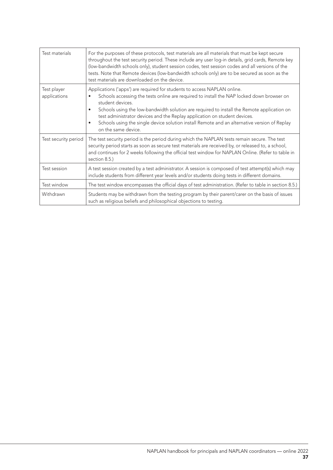| Test materials              | For the purposes of these protocols, test materials are all materials that must be kept secure<br>throughout the test security period. These include any user log-in details, grid cards, Remote key<br>(low-bandwidth schools only), student session codes, test session codes and all versions of the<br>tests. Note that Remote devices (low-bandwidth schools only) are to be secured as soon as the<br>test materials are downloaded on the device.                                                                           |
|-----------------------------|------------------------------------------------------------------------------------------------------------------------------------------------------------------------------------------------------------------------------------------------------------------------------------------------------------------------------------------------------------------------------------------------------------------------------------------------------------------------------------------------------------------------------------|
| Test player<br>applications | Applications ('apps') are required for students to access NAPLAN online.<br>Schools accessing the tests online are required to install the NAP locked down browser on<br>$\bullet$<br>student devices.<br>Schools using the low-bandwidth solution are required to install the Remote application on<br>$\bullet$<br>test administrator devices and the Replay application on student devices.<br>Schools using the single device solution install Remote and an alternative version of Replay<br>$\bullet$<br>on the same device. |
| Test security period        | The test security period is the period during which the NAPLAN tests remain secure. The test<br>security period starts as soon as secure test materials are received by, or released to, a school,<br>and continues for 2 weeks following the official test window for NAPLAN Online. (Refer to table in<br>section 8.5.)                                                                                                                                                                                                          |
| Test session                | A test session created by a test administrator. A session is composed of test attempt(s) which may<br>include students from different year levels and/or students doing tests in different domains.                                                                                                                                                                                                                                                                                                                                |
| Test window                 | The test window encompasses the official days of test administration. (Refer to table in section 8.5.)                                                                                                                                                                                                                                                                                                                                                                                                                             |
| Withdrawn                   | Students may be withdrawn from the testing program by their parent/carer on the basis of issues<br>such as religious beliefs and philosophical objections to testing.                                                                                                                                                                                                                                                                                                                                                              |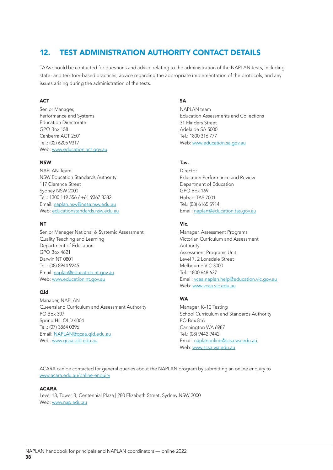## 12. TEST ADMINISTRATION AUTHORITY CONTACT DETAILS

TAAs should be contacted for questions and advice relating to the administration of the NAPLAN tests, including state- and territory-based practices, advice regarding the appropriate implementation of the protocols, and any issues arising during the administration of the tests.

## **ACT**

Senior Manager, Performance and Systems Education Directorate GPO Box 158 Canberra ACT 2601 Tel.: (02) 6205 9317 Web: www.education.act.gov.au

## NSW

NAPLAN Team NSW Education Standards Authority 117 Clarence Street Sydney NSW 2000 Tel.: 1300 119 556 / +61 9367 8382 Email: naplan.nsw@nesa.nsw.edu.au Web: educationstandards.nsw.edu.au

## **NT**

Senior Manager National & Systemic Assessment Quality Teaching and Learning Department of Education GPO Box 4821 Darwin NT 0801 Tel.: (08) 8944 9245 Email: naplan@education.nt.gov.au Web: www.education.nt.gov.au

## Qld

Manager, NAPLAN Queensland Curriculum and Assessment Authority PO Box 307 Spring Hill QLD 4004 Tel.: (07) 3864 0396 Email: NAPLAN@qcaa.qld.edu.au Web: www.qcaa.qld.edu.au

## **SA**

NAPLAN team Education Assessments and Collections 31 Flinders Street Adelaide SA 5000 Tel.: 1800 316 777 Web: www.education.sa.gov.au

## Tas.

**Director** Education Performance and Review Department of Education GPO Box 169 Hobart TAS 7001 Tel.: (03) 6165 5914 Email: naplan@education.tas.gov.au

## Vic.

Manager, Assessment Programs Victorian Curriculum and Assessment Authority Assessment Programs Unit Level 7, 2 Lonsdale Street Melbourne VIC 3000 Tel.: 1800 648 637 Email: vcaa.naplan.help@education.vic.gov.au Web: www.vcaa.vic.edu.au

## **WA**

Manager, K–10 Testing School Curriculum and Standards Authority PO Box 816 Cannington WA 6987 Tel.: (08) 9442 9442 Email: naplanonline@scsa.wa.edu.au Web: www.scsa.wa.edu.au

ACARA can be contacted for general queries about the NAPLAN program by submitting an online enquiry to www.acara.edu.au/online-enquiry

## ACARA

Level 13, Tower B, Centennial Plaza | 280 Elizabeth Street, Sydney NSW 2000 Web: www.nap.edu.au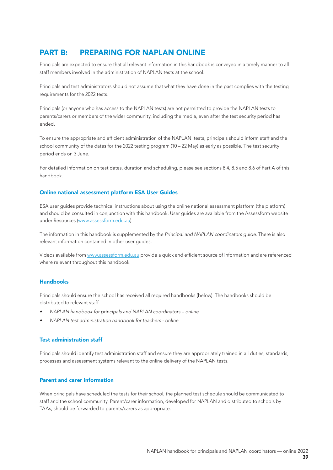## PART B: PREPARING FOR NAPLAN ONLINE

Principals are expected to ensure that all relevant information in this handbook is conveyed in a timely manner to all staff members involved in the administration of NAPLAN tests at the school.

Principals and test administrators should not assume that what they have done in the past complies with the testing requirements for the 2022 tests.

Principals (or anyone who has access to the NAPLAN tests) are not permitted to provide the NAPLAN tests to parents/carers or members of the wider community, including the media, even after the test security period has ended.

To ensure the appropriate and efficient administration of the NAPLAN tests, principals should inform staff and the school community of the dates for the 2022 testing program (10 – 22 May) as early as possible. The test security period ends on 3 June.

For detailed information on test dates, duration and scheduling, please see sections 8.4, 8.5 and 8.6 of Part A of this handbook.

## Online national assessment platform ESA User Guides

ESA user guides provide technical instructions about using the online national assessment platform (the platform) and should be consulted in conjunction with this handbook. User guides are available from the Assessform website under Resources (www.assessform.edu.au).

The information in this handbook is supplemented by the *Principal and NAPLAN coordinators guide*. There is also relevant information contained in other user guides.

Videos available from www.assessform.edu.au provide a quick and efficient source of information and are referenced where relevant throughout this handbook

## Handbooks

Principals should ensure the school has received all required handbooks (below). The handbooks should be distributed to relevant staff.

- *• NAPLAN handbook for principals and NAPLAN coordinators online*
- *• NAPLAN test administration handbook for teachers online*

## Test administration staff

Principals should identify test administration staff and ensure they are appropriately trained in all duties, standards, processes and assessment systems relevant to the online delivery of the NAPLAN tests.

## Parent and carer information

When principals have scheduled the tests for their school, the planned test schedule should be communicated to staff and the school community. Parent/carer information, developed for NAPLAN and distributed to schools by TAAs, should be forwarded to parents/carers as appropriate.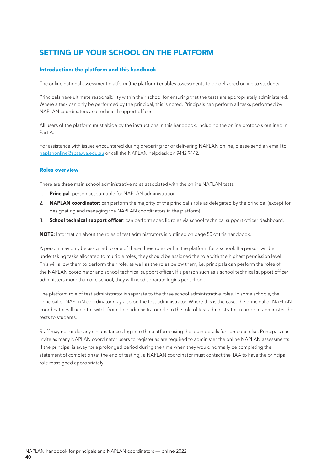## SETTING UP YOUR SCHOOL ON THE PLATFORM

## Introduction: the platform and this handbook

The online national assessment platform (the platform) enables assessments to be delivered online to students.

Principals have ultimate responsibility within their school for ensuring that the tests are appropriately administered. Where a task can only be performed by the principal, this is noted. Principals can perform all tasks performed by NAPLAN coordinators and technical support officers.

All users of the platform must abide by the instructions in this handbook, including the online protocols outlined in Part A.

For assistance with issues encountered during preparing for or delivering NAPLAN online, please send an email to naplanonline@scsa.wa.edu.au or call the NAPLAN helpdesk on 9442 9442.

## Roles overview

There are three main school administrative roles associated with the online NAPLAN tests:

- 1. Principal: person accountable for NAPLAN administration
- 2. NAPLAN coordinator: can perform the majority of the principal's role as delegated by the principal (except for designating and managing the NAPLAN coordinators in the platform)
- 3. School technical support officer: can perform specific roles via school technical support officer dashboard.

NOTE: Information about the roles of test administrators is outlined on page 50 of this handbook.

A person may only be assigned to one of these three roles within the platform for a school. If a person will be undertaking tasks allocated to multiple roles, they should be assigned the role with the highest permission level. This will allow them to perform their role, as well as the roles below them, i.e. principals can perform the roles of the NAPLAN coordinator and school technical support officer. If a person such as a school technical support officer administers more than one school, they will need separate logins per school.

The platform role of test administrator is separate to the three school administrative roles. In some schools, the principal or NAPLAN coordinator may also be the test administrator. Where this is the case, the principal or NAPLAN coordinator will need to switch from their administrator role to the role of test administrator in order to administer the tests to students.

Staff may not under any circumstances log in to the platform using the login details for someone else. Principals can invite as many NAPLAN coordinator users to register as are required to administer the online NAPLAN assessments. If the principal is away for a prolonged period during the time when they would normally be completing the statement of completion (at the end of testing), a NAPLAN coordinator must contact the TAA to have the principal role reassigned appropriately.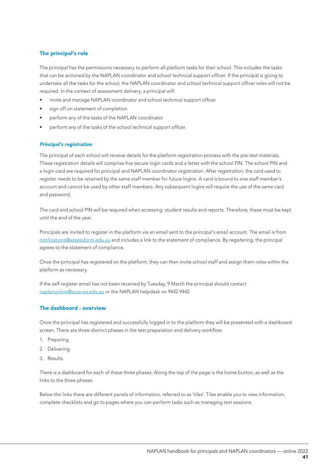## The principal's role

The principal has the permissions necessary to perform all platform tasks for their school. This includes the tasks that can be actioned by the NAPLAN coordinator and school technical support officer. If the principal is going to undertake all the tasks for the school, the NAPLAN coordinator and school technical support officer roles will not be required. In the context of assessment delivery, a principal will:

- invite and manage NAPLAN coordinator and school technical support officer
- sign off on statement of completion
- perform any of the tasks of the NAPLAN coordinator
- perform any of the tasks of the school technical support officer.

## *Principal's registration*

The principal of each school will receive details for the platform registration process with the pre-test materials. These registration details will comprise five secure login cards and a letter with the school PIN. The school PIN and a login card are required for principal and NAPLAN coordinator registration. After registration, the card used to register needs to be retained by the same staff member for future logins. A card is bound to one staff member's account and cannot be used by other staff members. Any subsequent logins will require the use of the same card and password.

The card and school PIN will be required when accessing student results and reports. Therefore, these must be kept until the end of the year.

Principals are invited to register in the platform via an email sent to the principal's email account. The email is from notifications@assessform.edu.au and includes a link to the statement of compliance. By registering, the principal agrees to the statement of compliance.

Once the principal has registered on the platform, they can then invite school staff and assign them roles within the platform as necessary.

If the self-register email has not been received by Tuesday, 9 March the principal should contact naplanonline@scsa.wa.edu.au or the NAPLAN helpdesk on 9442 9442.

## The dashboard - overview

Once the principal has registered and successfully logged in to the platform they will be presented with a dashboard screen. There are three distinct phases in the test preparation and delivery workflow:

- 1. Preparing
- 2. Delivering
- 3. Results

There is a dashboard for each of these three phases. Along the top of the page is the home button, as well as the links to the three phases.

Below the links there are different panels of information, referred to as 'tiles'. Tiles enable you to view information, complete checklists and go to pages where you can perform tasks such as managing test sessions.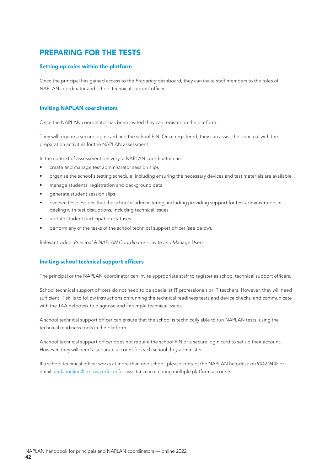## PREPARING FOR THE TESTS

## Setting up roles within the platform

Once the principal has gained access to the *Preparing* dashboard, they can invite staff members to the roles of NAPLAN coordinator and school technical support officer.

## Inviting NAPLAN coordinators

Once the NAPLAN coordinator has been invited they can register on the platform.

They will require a secure login card and the school PIN. Once registered, they can assist the principal with the preparation activities for the NAPLAN assessment.

In the context of assessment delivery, a NAPLAN coordinator can:

- create and manage test administrator session slips
- organise the school's testing schedule, including ensuring the necessary devices and test materials are available
- manage students' registration and background data
- generate student session slips
- oversee test sessions that the school is administering, including providing support for test administrators in dealing with test disruptions, including technical issues
- update student participation statuses
- perform any of the tasks of the school technical support officer (see below).

Relevant video: *Principal & NAPLAN Coordinator – Invite and Manage Users*

## Inviting school technical support officers

The principal or the NAPLAN coordinator can invite appropriate staff to register as school technical support officers.

School technical support officers do not need to be specialist IT professionals or IT teachers. However, they will need sufficient IT skills to follow instructions on running the technical readiness tests and device checks, and communicate with the TAA helpdesk to diagnose and fix simple technical issues.

A school technical support officer can ensure that the school is technically able to run NAPLAN tests, using the technical readiness tools in the platform.

A school technical support officer does not require the school PIN or a secure login card to set up their account. However, they will need a separate account for each school they administer.

If a school technical officer works at more than one school, please contact the NAPLAN helpdesk on 9442 9442 or email naplanonline@scsa.wa.edu.au for assistance in creating multiple platform accounts.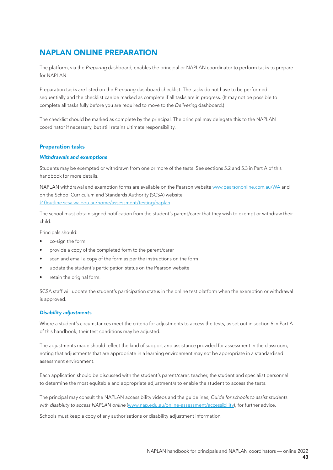## NAPLAN ONLINE PREPARATION

The platform, via the *Preparing* dashboard, enables the principal or NAPLAN coordinator to perform tasks to prepare for NAPLAN.

Preparation tasks are listed on the *Preparing* dashboard checklist. The tasks do not have to be performed sequentially and the checklist can be marked as complete if all tasks are in progress. (It may not be possible to complete all tasks fully before you are required to move to the *Delivering* dashboard.)

The checklist should be marked as complete by the principal. The principal may delegate this to the NAPLAN coordinator if necessary, but still retains ultimate responsibility.

## Preparation tasks

## *Withdrawals and exemptions*

Students may be exempted or withdrawn from one or more of the tests. See sections 5.2 and 5.3 in Part A of this handbook for more details.

NAPLAN withdrawal and exemption forms are available on the Pearson website www.pearsononline.com.au/WA and on the School Curriculum and Standards Authority (SCSA) website k10outline.scsa.wa.edu.au/home/assessment/testing/naplan.

The school must obtain signed notification from the student's parent/carer that they wish to exempt or withdraw their child.

Principals should:

- co-sign the form
- provide a copy of the completed form to the parent/carer
- scan and email a copy of the form as per the instructions on the form
- update the student's participation status on the Pearson website
- retain the original form.

SCSA staff will update the student's participation status in the online test platform when the exemption or withdrawal is approved.

## *Disability adjustments*

Where a student's circumstances meet the criteria for adjustments to access the tests, as set out in section 6 in Part A of this handbook, their test conditions may be adjusted.

The adjustments made should reflect the kind of support and assistance provided for assessment in the classroom, noting that adjustments that are appropriate in a learning environment may not be appropriate in a standardised assessment environment.

Each application should be discussed with the student's parent/carer, teacher, the student and specialist personnel to determine the most equitable and appropriate adjustment/s to enable the student to access the tests.

The principal may consult the NAPLAN accessibility videos and the guidelines, *Guide for schools to assist students with disability to access NAPLAN online* (www.nap.edu.au/online-assessment/accessibility), for further advice.

Schools must keep a copy of any authorisations or disability adjustment information.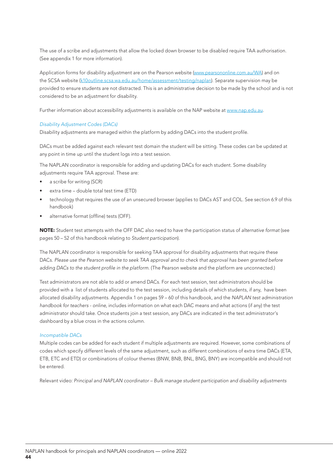The use of a scribe and adjustments that allow the locked down browser to be disabled require TAA authorisation. (See appendix 1 for more information).

Application forms for disability adjustment are on the Pearson website (www.pearsononline.com.au/WA) and on the SCSA website (k10outline.scsa.wa.edu.au/home/assessment/testing/naplan). Separate supervision may be provided to ensure students are not distracted. This is an administrative decision to be made by the school and is not considered to be an adjustment for disability.

Further information about accessibility adjustments is available on the NAP website at www.nap.edu.au.

## *Disability Adjustment Codes (DACs)*

Disability adjustments are managed within the platform by adding DACs into the student profile.

DACs must be added against each relevant test domain the student will be sitting. These codes can be updated at any point in time up until the student logs into a test session.

The NAPLAN coordinator is responsible for adding and updating DACs for each student. Some disability adjustments require TAA approval. These are:

- a scribe for writing (SCR)
- extra time double total test time (ETD)
- technology that requires the use of an unsecured browser (applies to DACs AST and COL. See section 6.9 of this handbook)
- alternative format (offline) tests (OFF).

NOTE: Student test attempts with the OFF DAC also need to have the participation status of *alternative format* (see pages 50 – 52 of this handbook relating to *Student participation*).

The NAPLAN coordinator is responsible for seeking TAA approval for disability adjustments that require these DACs. *Please use the Pearson website to seek TAA approval and to check that approval has been granted before*  adding DACs to the student profile in the platform. (The Pearson website and the platform are unconnected.)

Test administrators are not able to add or amend DACs. For each test session, test administrators should be provided with a list of students allocated to the test session, including details of which students, if any, have been allocated disability adjustments. Appendix 1 on pages 59 – 60 of this handbook, and the *NAPLAN test administration handbook for teachers - online*, includes information on what each DAC means and what actions (if any) the test administrator should take. Once students join a test session, any DACs are indicated in the test administrator's dashboard by a blue cross in the actions column.

#### *Incompatible DACs*

Multiple codes can be added for each student if multiple adjustments are required. However, some combinations of codes which specify different levels of the same adjustment, such as different combinations of extra time DACs (ETA, ETB, ETC and ETD) or combinations of colour themes (BNW, BNB, BNL, BNG, BNY) are incompatible and should not be entered.

Relevant video: *Principal and NAPLAN coordinator – Bulk manage student participation and disability adjustments*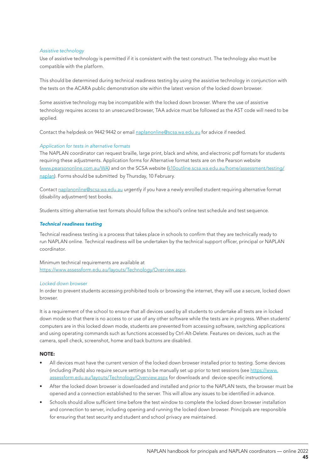## *Assistive technology*

Use of assistive technology is permitted if it is consistent with the test construct. The technology also must be compatible with the platform.

This should be determined during technical readiness testing by using the assistive technology in conjunction with the tests on the ACARA public demonstration site within the latest version of the locked down browser.

Some assistive technology may be incompatible with the locked down browser. Where the use of assistive technology requires access to an unsecured browser, TAA advice must be followed as the AST code will need to be applied.

Contact the helpdesk on 9442 9442 or email naplanonline@scsa.wa.edu.au for advice if needed.

## *Application for tests in alternative formats*

The NAPLAN coordinator can request braille, large print, black and white, and electronic pdf formats for students requiring these adjustments. Application forms for Alternative format tests are on the Pearson website (www.pearsononline.com.au/WA) and on the SCSA website (k10outline.scsa.wa.edu.au/home/assessment/testing/ naplan). Forms should be submitted by Thursday, 10 February.

Contact naplanonline@scsa.wa.edu.au urgently if you have a newly enrolled student requiring alternative format (disability adjustment) test books.

Students sitting alternative test formats should follow the school's online test schedule and test sequence.

## *Technical readiness testing*

Technical readiness testing is a process that takes place in schools to confirm that they are technically ready to run NAPLAN online. Technical readiness will be undertaken by the technical support officer, principal or NAPLAN coordinator.

Minimum technical requirements are available at https://www.assessform.edu.au/layouts/Technology/Overview.aspx.

## *Locked down browser*

In order to prevent students accessing prohibited tools or browsing the internet, they will use a secure, locked down browser.

It is a requirement of the school to ensure that all devices used by all students to undertake all tests are in locked down mode so that there is no access to or use of any other software while the tests are in progress. When students' computers are in this locked down mode, students are prevented from accessing software, switching applications and using operating commands such as functions accessed by Ctrl-Alt-Delete. Features on devices, such as the camera, spell check, screenshot, home and back buttons are disabled.

#### NOTE:

- All devices must have the current version of the locked down browser installed prior to testing. Some devices (including iPads) also require secure settings to be manually set up prior to test sessions (see https://www. assessform.edu.au/layouts/Technology/Overview.aspx for downloads and device-specific instructions).
- After the locked down browser is downloaded and installed and prior to the NAPLAN tests, the browser must be opened and a connection established to the server. This will allow any issues to be identified in advance.
- Schools should allow sufficient time before the test window to complete the locked down browser installation and connection to server, including opening and running the locked down browser. Principals are responsible for ensuring that test security and student and school privacy are maintained.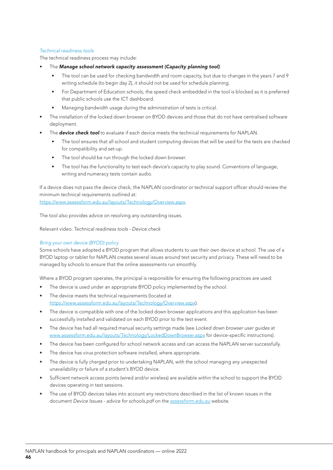## *Technical readiness tools*

The technical readiness process may include:

- The *Manage school network capacity assessment (Capacity planning tool)*.
	- The tool can be used for checking bandwidth and room capacity, but due to changes in the years 7 and 9 writing schedule (to begin day 2), it should not be used for schedule planning.
	- For Department of Education schools, the speed check embedded in the tool is blocked as it is preferred that public schools use the ICT dashboard.
	- Managing bandwidth usage during the administration of tests is critical.
- The installation of the locked down browser on BYOD devices and those that do not have centralised software deployment.
- The **device check tool** to evaluate if each device meets the technical requirements for NAPLAN.
	- The tool ensures that all school and student computing devices that will be used for the tests are checked for compatibility and set-up.
	- The tool should be run through the locked down browser.
	- The tool has the functionality to test each device's capacity to play sound. Conventions of language, writing and numeracy tests contain audio.

If a device does not pass the device check, the NAPLAN coordinator or technical support officer should review the minimum technical requirements outlined at:

https://www.assessform.edu.au/layouts/Technology/Overview.aspx.

The tool also provides advice on resolving any outstanding issues.

Relevant video: *Technical readiness tools - Device check*

## *Bring your own device (BYOD) policy*

Some schools have adopted a BYOD program that allows students to use their own device at school. The use of a BYOD laptop or tablet for NAPLAN creates several issues around test security and privacy. These will need to be managed by schools to ensure that the online assessments run smoothly.

Where a BYOD program operates, the principal is responsible for ensuring the following practices are used:

- The device is used under an appropriate BYOD policy implemented by the school.
- The device meets the technical requirements (located at https://www.assessform.edu.au/layouts/Technology/Overview.aspx).
- The device is compatible with one of the locked down browser applications and this application has been successfully installed and validated on each BYOD prior to the test event.
- The device has had all required manual security settings made (see *Locked down browser user guides* at www.assessform.edu.au/layouts/Technology/LockedDownBrowser.aspx for device-specific instructions).
- The device has been configured for school network access and can access the NAPLAN server successfully.
- The device has virus protection software installed, where appropriate.
- The device is fully charged prior to undertaking NAPLAN, with the school managing any unexpected unavailability or failure of a student's BYOD device.
- Sufficient network access points (wired and/or wireless) are available within the school to support the BYOD devices operating in test sessions.
- The use of BYOD devices takes into account any restrictions described in the list of known issues in the document *Device Issues - advice for schools.pdf* on the assessform.edu.au website.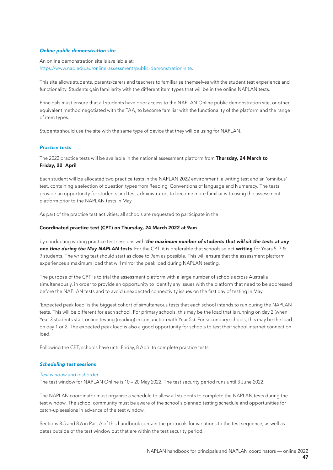#### *Online public demonstration site*

An online demonstration site is available at: https://www.nap.edu.au/online-assessment/public-demonstration-site.

This site allows students, parents/carers and teachers to familiarise themselves with the student test experience and functionality. Students gain familiarity with the different item types that will be in the online NAPLAN tests.

Principals must ensure that all students have prior access to the NAPLAN Online public demonstration site, or other equivalent method negotiated with the TAA, to become familiar with the functionality of the platform and the range of item types.

Students should use the site with the same type of device that they will be using for NAPLAN.

#### *Practice tests*

The 2022 practice tests will be available in the national assessment platform from Thursday, 24 March to Friday, 22 April.

Each student will be allocated two practice tests in the NAPLAN 2022 environment: a writing test and an 'omnibus' test, containing a selection of question types from Reading, Conventions of language and Numeracy. The tests provide an opportunity for students and test administrators to become more familiar with using the assessment platform prior to the NAPLAN tests in May.

As part of the practice test activities, all schools are requested to participate in the

#### Coordinated practice test (CPT) on Thursday, 24 March 2022 at 9am

by conducting writing practice test sessions with *the maximum number of students that will sit the tests at any one time during the May NAPLAN tests*. For the CPT, it is preferable that schools select writing for Years 5, 7 & 9 students. The writing test should start as close to 9am as possible. This will ensure that the assessment platform experiences a maximum load that will mirror the peak load during NAPLAN testing.

The purpose of the CPT is to trial the assessment platform with a large number of schools across Australia simultaneously, in order to provide an opportunity to identify any issues with the platform that need to be addressed before the NAPLAN tests and to avoid unexpected connectivity issues on the first day of testing in May.

'Expected peak load' is the biggest cohort of simultaneous tests that each school intends to run during the NAPLAN tests. This will be different for each school. For primary schools, this may be the load that is running on day 2 (when Year 3 students start online testing (reading) in conjunction with Year 5s). For secondary schools, this may be the load on day 1 or 2. The expected peak load is also a good opportunity for schools to test their school internet connection load.

Following the CPT, schools have until Friday, 8 April to complete practice tests.

#### *Scheduling test sessions*

#### *Test window and test order*

The test window for NAPLAN Online is 10 – 20 May 2022. The test security period runs until 3 June 2022.

The NAPLAN coordinator must organise a schedule to allow all students to complete the NAPLAN tests during the test window. The school community must be aware of the school's planned testing schedule and opportunities for catch-up sessions in advance of the test window.

Sections 8.5 and 8.6 in Part A of this handbook contain the protocols for variations to the test sequence, as well as dates outside of the test window but that are within the test security period.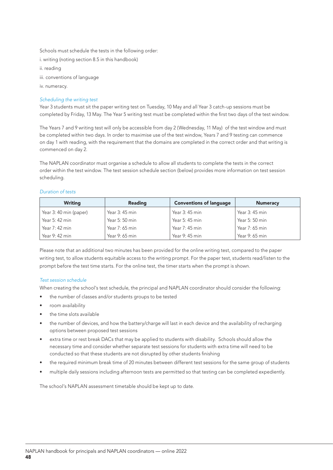Schools must schedule the tests in the following order:

i. writing (noting section 8.5 in this handbook)

ii. reading

iii. conventions of language

iv. numeracy.

## *Scheduling the writing test*

Year 3 students must sit the paper writing test on Tuesday, 10 May and all Year 3 catch-up sessions must be completed by Friday, 13 May. The Year 5 writing test must be completed within the first two days of the test window.

The Years 7 and 9 writing test will only be accessible from day 2 (Wednesday, 11 May) of the test window and must be completed within two days. In order to maximise use of the test window, Years 7 and 9 testing can commence on day 1 with reading, with the requirement that the domains are completed in the correct order and that writing is commenced on day 2.

The NAPLAN coordinator must organise a schedule to allow all students to complete the tests in the correct order within the test window. The test session schedule section (below) provides more information on test session scheduling.

## *Duration of tests*

| <b>Writing</b>         | <b>Reading</b> | <b>Conventions of language</b> | <b>Numeracy</b> |
|------------------------|----------------|--------------------------------|-----------------|
| Year 3: 40 min (paper) | Year 3: 45 min | Year 3: 45 min                 | Year 3: 45 min  |
| Year 5: 42 min         | Year 5: 50 min | Year 5: 45 min                 | Year 5: 50 min  |
| Year 7: 42 min         | Year 7: 65 min | Year 7: 45 min                 | Year 7: 65 min  |
| Year 9: 42 min         | Year 9: 65 min | Year 9: 45 min                 | Year 9: 65 min  |

Please note that an additional two minutes has been provided for the online writing test, compared to the paper writing test, to allow students equitable access to the writing prompt. For the paper test, students read/listen to the prompt before the test time starts. For the online test, the timer starts when the prompt is shown.

## *Test session schedule*

When creating the school's test schedule, the principal and NAPLAN coordinator should consider the following:

- the number of classes and/or students groups to be tested
- room availability
- the time slots available
- the number of devices, and how the battery/charge will last in each device and the availability of recharging options between proposed test sessions
- extra time or rest break DACs that may be applied to students with disability. Schools should allow the necessary time and consider whether separate test sessions for students with extra time will need to be conducted so that these students are not disrupted by other students finishing
- the required minimum break time of 20 minutes between different test sessions for the same group of students
- multiple daily sessions including afternoon tests are permitted so that testing can be completed expediently.

The school's NAPLAN assessment timetable should be kept up to date.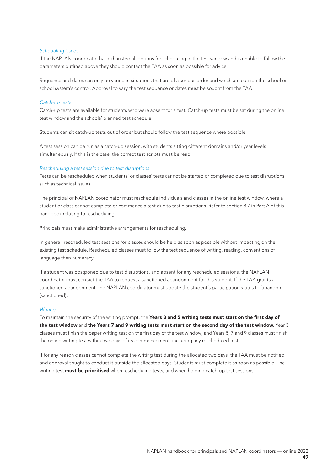#### *Scheduling issues*

If the NAPLAN coordinator has exhausted all options for scheduling in the test window and is unable to follow the parameters outlined above they should contact the TAA as soon as possible for advice.

Sequence and dates can only be varied in situations that are of a serious order and which are outside the school or school system's control. Approval to vary the test sequence or dates must be sought from the TAA.

#### *Catch-up tests*

Catch-up tests are available for students who were absent for a test. Catch-up tests must be sat during the online test window and the schools' planned test schedule.

Students can sit catch-up tests out of order but should follow the test sequence where possible.

A test session can be run as a catch-up session, with students sitting different domains and/or year levels simultaneously. If this is the case, the correct test scripts must be read.

#### *Rescheduling a test session due to test disruptions*

Tests can be rescheduled when students' or classes' tests cannot be started or completed due to test disruptions, such as technical issues.

The principal or NAPLAN coordinator must reschedule individuals and classes in the online test window, where a student or class cannot complete or commence a test due to test disruptions. Refer to section 8.7 in Part A of this handbook relating to rescheduling.

Principals must make administrative arrangements for rescheduling.

In general, rescheduled test sessions for classes should be held as soon as possible without impacting on the existing test schedule. Rescheduled classes must follow the test sequence of writing, reading, conventions of language then numeracy.

If a student was postponed due to test disruptions, and absent for any rescheduled sessions, the NAPLAN coordinator must contact the TAA to request a sanctioned abandonment for this student. If the TAA grants a sanctioned abandonment, the NAPLAN coordinator must update the student's participation status to 'abandon (sanctioned)'.

#### *Writing*

To maintain the security of the writing prompt, the Years 3 and 5 writing tests must start on the first day of the test window and the Years 7 and 9 writing tests must start on the second day of the test window. Year 3 classes must finish the paper writing test on the first day of the test window, and Years 5, 7 and 9 classes must finish the online writing test within two days of its commencement, including any rescheduled tests.

If for any reason classes cannot complete the writing test during the allocated two days, the TAA must be notified and approval sought to conduct it outside the allocated days. Students must complete it as soon as possible. The writing test **must be prioritised** when rescheduling tests, and when holding catch-up test sessions.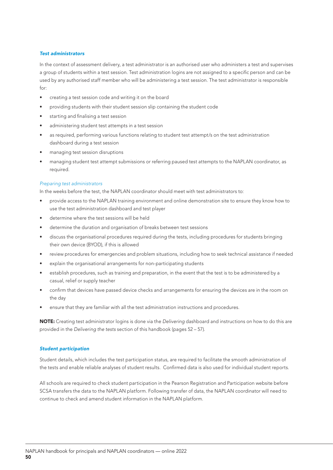#### *Test administrators*

In the context of assessment delivery, a test administrator is an authorised user who administers a test and supervises a group of students within a test session. Test administration logins are not assigned to a specific person and can be used by any authorised staff member who will be administering a test session. The test administrator is responsible  $for:$ 

- creating a test session code and writing it on the board
- providing students with their student session slip containing the student code
- starting and finalising a test session
- administering student test attempts in a test session
- as required, performing various functions relating to student test attempt/s on the test administration dashboard during a test session
- managing test session disruptions
- managing student test attempt submissions or referring paused test attempts to the NAPLAN coordinator, as required.

#### *Preparing test administrators*

In the weeks before the test, the NAPLAN coordinator should meet with test administrators to:

- provide access to the NAPLAN training environment and online demonstration site to ensure they know how to use the test administration dashboard and test player
- determine where the test sessions will be held
- determine the duration and organisation of breaks between test sessions
- discuss the organisational procedures required during the tests, including procedures for students bringing their own device (BYOD), if this is allowed
- review procedures for emergencies and problem situations, including how to seek technical assistance if needed
- explain the organisational arrangements for non-participating students
- establish procedures, such as training and preparation, in the event that the test is to be administered by a casual, relief or supply teacher
- confirm that devices have passed device checks and arrangements for ensuring the devices are in the room on the day
- ensure that they are familiar with all the test administration instructions and procedures.

NOTE: Creating test administrator logins is done via the *Delivering* dashboard and instructions on how to do this are provided in the *Delivering the tests* section of this handbook (pages 52 – 57).

#### *Student participation*

Student details, which includes the test participation status, are required to facilitate the smooth administration of the tests and enable reliable analyses of student results. Confirmed data is also used for individual student reports.

All schools are required to check student participation in the Pearson Registration and Participation website before SCSA transfers the data to the NAPLAN platform. Following transfer of data, the NAPLAN coordinator will need to continue to check and amend student information in the NAPLAN platform.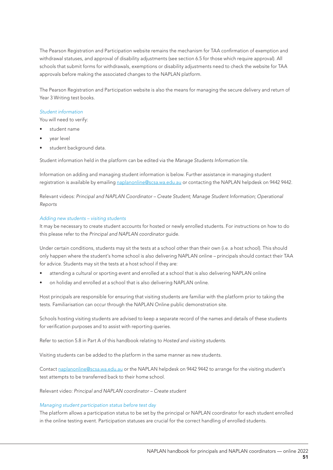The Pearson Registration and Participation website remains the mechanism for TAA confirmation of exemption and withdrawal statuses, and approval of disability adjustments (see section 6.5 for those which require approval). All schools that submit forms for withdrawals, exemptions or disability adjustments need to check the website for TAA approvals before making the associated changes to the NAPLAN platform.

The Pearson Registration and Participation website is also the means for managing the secure delivery and return of Year 3 Writing test books.

#### *Student information*

You will need to verify:

- student name
- vear level
- student background data.

Student information held in the platform can be edited via the *Manage Students Information* tile.

Information on adding and managing student information is below. Further assistance in managing student registration is available by emailing naplanonline@scsa.wa.edu.au or contacting the NAPLAN helpdesk on 9442 9442.

Relevant videos: *Principal and NAPLAN Coordinator – Create Student; Manage Student Information; Operational Reports* 

### *Adding new students – visiting students*

It may be necessary to create student accounts for hosted or newly enrolled students. For instructions on how to do this please refer to the *Principal and NAPLAN coordinator* guide.

Under certain conditions, students may sit the tests at a school other than their own (i.e. a host school). This should only happen where the student's home school is also delivering NAPLAN online – principals should contact their TAA for advice. Students may sit the tests at a host school if they are:

- attending a cultural or sporting event and enrolled at a school that is also delivering NAPLAN online
- on holiday and enrolled at a school that is also delivering NAPLAN online.

Host principals are responsible for ensuring that visiting students are familiar with the platform prior to taking the tests. Familiarisation can occur through the NAPLAN Online public demonstration site.

Schools hosting visiting students are advised to keep a separate record of the names and details of these students for verification purposes and to assist with reporting queries.

Refer to section 5.8 in Part A of this handbook relating to *Hosted and visiting students*.

Visiting students can be added to the platform in the same manner as new students.

Contact naplanonline@scsa.wa.edu.au or the NAPLAN helpdesk on 9442 9442 to arrange for the visiting student's test attempts to be transferred back to their home school.

Relevant video: *Principal and NAPLAN coordinator – Create student*

#### *Managing student participation status before test day*

The platform allows a participation status to be set by the principal or NAPLAN coordinator for each student enrolled in the online testing event. Participation statuses are crucial for the correct handling of enrolled students.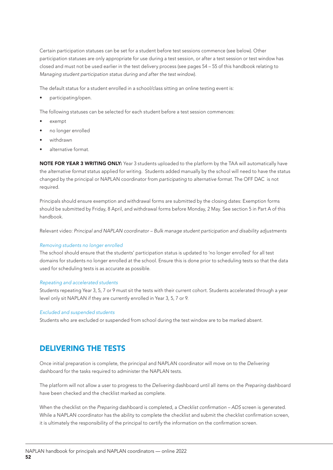Certain participation statuses can be set for a student before test sessions commence (see below). Other participation statuses are only appropriate for use during a test session, or after a test session or test window has closed and must not be used earlier in the test delivery process (see pages 54 – 55 of this handbook relating to *Managing student participation status during and after the test window*).

The default status for a student enrolled in a school/class sitting an online testing event is:

• participating/open.

The following statuses can be selected for each student before a test session commences:

- exempt
- no longer enrolled
- withdrawn
- alternative format.

NOTE FOR YEAR 3 WRITING ONLY: Year 3 students uploaded to the platform by the TAA will automatically have the *alternative format* status applied for writing. Students added manually by the school will need to have the status changed by the principal or NAPLAN coordinator from *participating* to *alternative format*. The OFF DAC is not required.

Principals should ensure exemption and withdrawal forms are submitted by the closing dates: Exemption forms should be submitted by Friday, 8 April, and withdrawal forms before Monday, 2 May. See section 5 in Part A of this handbook.

Relevant video: *Principal and NAPLAN coordinator – Bulk manage student participation and disability adjustments* 

#### *Removing students no longer enrolled*

The school should ensure that the students' participation status is updated to 'no longer enrolled' for all test domains for students no longer enrolled at the school. Ensure this is done prior to scheduling tests so that the data used for scheduling tests is as accurate as possible.

#### *Repeating and accelerated students*

Students repeating Year 3, 5, 7 or 9 must sit the tests with their current cohort. Students accelerated through a year level only sit NAPLAN if they are currently enrolled in Year 3, 5, 7 or 9.

#### *Excluded and suspended students*

Students who are excluded or suspended from school during the test window are to be marked absent.

## DELIVERING THE TESTS

Once initial preparation is complete, the principal and NAPLAN coordinator will move on to the *Delivering* dashboard for the tasks required to administer the NAPLAN tests.

The platform will not allow a user to progress to the *Delivering* dashboard until all items on the *Preparing* dashboard have been checked and the checklist marked as complete.

When the checklist on the *Preparing* dashboard is completed, a Checklist confirmation – ADS screen is generated. While a NAPLAN coordinator has the ability to complete the checklist and submit the checklist confirmation screen, it is ultimately the responsibility of the principal to certify the information on the confirmation screen.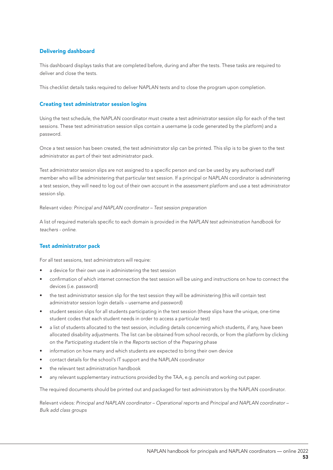## Delivering dashboard

This dashboard displays tasks that are completed before, during and after the tests. These tasks are required to deliver and close the tests.

This checklist details tasks required to deliver NAPLAN tests and to close the program upon completion.

## Creating test administrator session logins

Using the test schedule, the NAPLAN coordinator must create a test administrator session slip for each of the test sessions. These test administration session slips contain a username (a code generated by the platform) and a password.

Once a test session has been created, the test administrator slip can be printed. This slip is to be given to the test administrator as part of their test administrator pack.

Test administrator session slips are not assigned to a specific person and can be used by any authorised staff member who will be administering that particular test session. If a principal or NAPLAN coordinator is administering a test session, they will need to log out of their own account in the assessment platform and use a test administrator session slip.

Relevant video: *Principal and NAPLAN coordinator – Test session preparation*

A list of required materials specific to each domain is provided in the *NAPLAN test administration handbook for teachers - online*.

## Test administrator pack

For all test sessions, test administrators will require:

- a device for their own use in administering the test session
- confirmation of which internet connection the test session will be using and instructions on how to connect the devices (i.e. password)
- the test administrator session slip for the test session they will be administering (this will contain test administrator session login details – username and password)
- student session slips for all students participating in the test session (these slips have the unique, one-time student codes that each student needs in order to access a particular test)
- a list of students allocated to the test session, including details concerning which students, if any, have been allocated disability adjustments. The list can be obtained from school records, or from the platform by clicking on the *Participating student* tile in the *Reports* section of the *Preparing* phase
- information on how many and which students are expected to bring their own device
- contact details for the school's IT support and the NAPLAN coordinator
- the relevant test administration handbook
- any relevant supplementary instructions provided by the TAA, e.g. pencils and working out paper.

The required documents should be printed out and packaged for test administrators by the NAPLAN coordinator.

Relevant videos: *Principal and NAPLAN coordinator – Operational reports* and *Principal and NAPLAN coordinator – Bulk add class groups*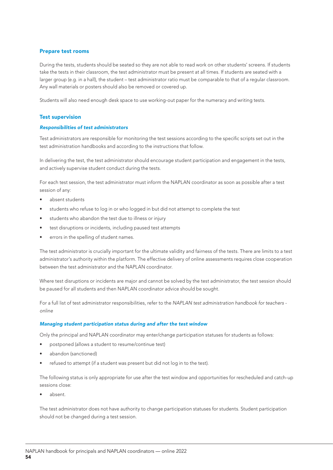## Prepare test rooms

During the tests, students should be seated so they are not able to read work on other students' screens. If students take the tests in their classroom, the test administrator must be present at all times. If students are seated with a larger group (e.g. in a hall), the student – test administrator ratio must be comparable to that of a regular classroom. Any wall materials or posters should also be removed or covered up.

Students will also need enough desk space to use working-out paper for the numeracy and writing tests.

## Test supervision

#### *Responsibilities of test administrators*

Test administrators are responsible for monitoring the test sessions according to the specific scripts set out in the test administration handbooks and according to the instructions that follow.

In delivering the test, the test administrator should encourage student participation and engagement in the tests, and actively supervise student conduct during the tests.

For each test session, the test administrator must inform the NAPLAN coordinator as soon as possible after a test session of any:

- absent students
- students who refuse to log in or who logged in but did not attempt to complete the test
- students who abandon the test due to illness or injury
- test disruptions or incidents, including paused test attempts
- errors in the spelling of student names.

The test administrator is crucially important for the ultimate validity and fairness of the tests. There are limits to a test administrator's authority within the platform. The effective delivery of online assessments requires close cooperation between the test administrator and the NAPLAN coordinator.

Where test disruptions or incidents are major and cannot be solved by the test administrator, the test session should be paused for all students and then NAPLAN coordinator advice should be sought.

For a full list of test administrator responsibilities, refer to the *NAPLAN test administration handbook for teachers online*

#### *Managing student participation status during and after the test window*

Only the principal and NAPLAN coordinator may enter/change participation statuses for students as follows:

- postponed (allows a student to resume/continue test)
- abandon (sanctioned)
- refused to attempt (if a student was present but did not log in to the test).

The following status is only appropriate for use after the test window and opportunities for rescheduled and catch-up sessions close:

absent.

The test administrator does not have authority to change participation statuses for students. Student participation should not be changed during a test session.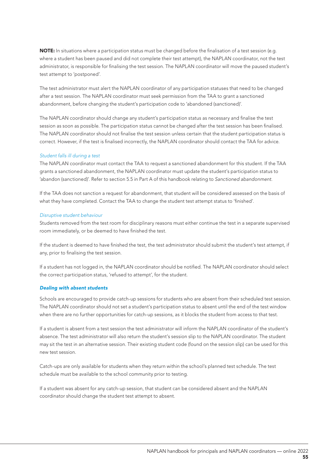NOTE: In situations where a participation status must be changed before the finalisation of a test session (e.g. where a student has been paused and did not complete their test attempt), the NAPLAN coordinator, not the test administrator, is responsible for finalising the test session. The NAPLAN coordinator will move the paused student's test attempt to 'postponed'.

The test administrator must alert the NAPLAN coordinator of any participation statuses that need to be changed after a test session. The NAPLAN coordinator must seek permission from the TAA to grant a sanctioned abandonment, before changing the student's participation code to 'abandoned (sanctioned)'.

The NAPLAN coordinator should change any student's participation status as necessary and finalise the test session as soon as possible. The participation status cannot be changed after the test session has been finalised. The NAPLAN coordinator should not finalise the test session unless certain that the student participation status is correct. However, if the test is finalised incorrectly, the NAPLAN coordinator should contact the TAA for advice.

## *Student falls ill during a test*

The NAPLAN coordinator must contact the TAA to request a sanctioned abandonment for this student. If the TAA grants a sanctioned abandonment, the NAPLAN coordinator must update the student's participation status to 'abandon (sanctioned)'. Refer to section 5.5 in Part A of this handbook relating to *Sanctioned abandonment.*

If the TAA does not sanction a request for abandonment, that student will be considered assessed on the basis of what they have completed. Contact the TAA to change the student test attempt status to 'finished'.

#### *Disruptive student behaviour*

Students removed from the test room for disciplinary reasons must either continue the test in a separate supervised room immediately, or be deemed to have finished the test.

If the student is deemed to have finished the test, the test administrator should submit the student's test attempt, if any, prior to finalising the test session.

If a student has not logged in, the NAPLAN coordinator should be notified. The NAPLAN coordinator should select the correct participation status, 'refused to attempt', for the student.

## *Dealing with absent students*

Schools are encouraged to provide catch-up sessions for students who are absent from their scheduled test session. The NAPLAN coordinator should not set a student's participation status to absent until the end of the test window when there are no further opportunities for catch-up sessions, as it blocks the student from access to that test.

If a student is absent from a test session the test administrator will inform the NAPLAN coordinator of the student's absence. The test administrator will also return the student's session slip to the NAPLAN coordinator. The student may sit the test in an alternative session. Their existing student code (found on the session slip) can be used for this new test session.

Catch-ups are only available for students when they return within the school's planned test schedule. The test schedule must be available to the school community prior to testing.

If a student was absent for any catch-up session, that student can be considered absent and the NAPLAN coordinator should change the student test attempt to absent.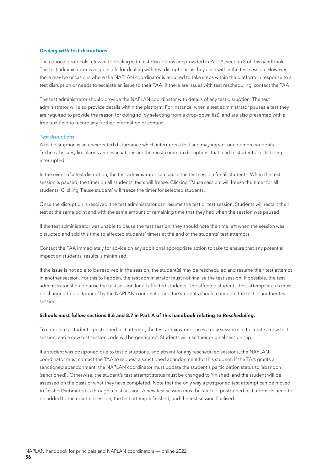## *Dealing with test disruptions*

The national protocols relevant to dealing with test disruptions are provided in Part A, section 8 of this handbook. The test administrator is responsible for dealing with test disruptions as they arise within the test session. However, there may be occasions where the NAPLAN coordinator is required to take steps within the platform in response to a test disruption or needs to escalate an issue to their TAA. If there are issues with test rescheduling, contact the TAA.

The test administrator should provide the NAPLAN coordinator with details of any test disruption. The test administrator will also provide details within the platform. For instance, when a test administrator pauses a test they are required to provide the reason for doing so (by selecting from a drop-down list), and are also presented with a free text field to record any further information or context.

## *Test disruptions*

A test disruption is an unexpected disturbance which interrupts a test and may impact one or more students. Technical issues, fire alarms and evacuations are the most common disruptions that lead to students' tests being interrupted.

In the event of a test disruption, the test administrator can pause the test session for all students. When the test session is paused, the timer on all students' tests will freeze. Clicking 'Pause session' will freeze the timer for all students. Clicking 'Pause student' will freeze the timer for selected students.

Once the disruption is resolved, the test administrator can resume the test or test session. Students will restart their test at the same point and with the same amount of remaining time that they had when the session was paused.

If the test administrator was unable to pause the test session, they should note the time left when the session was disrupted and add this time to affected students' timers at the end of the students' test attempts.

Contact the TAA immediately for advice on any additional appropriate action to take to ensure that any potential impact on students' results is minimised.

If the issue is not able to be resolved in the session, the student(s) may be rescheduled and resume their test attempt in another session. For this to happen, the test administrator must not finalise the test session. If possible, the test administrator should pause the test session for all affected students. The affected students' test attempt status must be changed to 'postponed' by the NAPLAN coordinator and the students should complete the test in another test session.

#### Schools must follow sections 8.6 and 8.7 in Part A of this handbook relating to *Rescheduling*.

To complete a student's postponed test attempt, the test administrator uses a new session slip to create a new test session, and a new test session code will be generated. Students will use their original session slip.

If a student was postponed due to test disruptions, and absent for any rescheduled sessions, the NAPLAN coordinator must contact the TAA to request a sanctioned abandonment for this student. If the TAA grants a sanctioned abandonment, the NAPLAN coordinator must update the student's participation status to 'abandon (sanctioned)'. Otherwise, the student's test attempt status must be changed to 'finished' and the student will be assessed on the basis of what they have completed. Note that the only way a postponed test attempt can be moved to finished/submitted is through a test session. A new test session must be started, postponed test attempts need to be added to the new test session, the test attempts finished, and the test session finalised.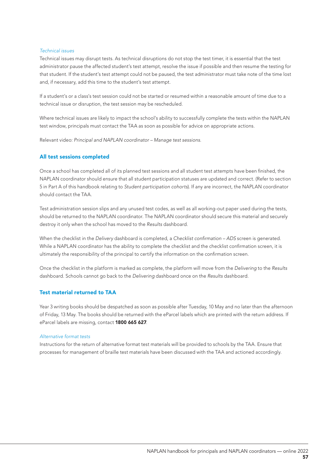#### *Technical issues*

Technical issues may disrupt tests. As technical disruptions do not stop the test timer, it is essential that the test administrator pause the affected student's test attempt, resolve the issue if possible and then resume the testing for that student. If the student's test attempt could not be paused, the test administrator must take note of the time lost and, if necessary, add this time to the student's test attempt.

If a student's or a class's test session could not be started or resumed within a reasonable amount of time due to a technical issue or disruption, the test session may be rescheduled.

Where technical issues are likely to impact the school's ability to successfully complete the tests within the NAPLAN test window, principals must contact the TAA as soon as possible for advice on appropriate actions.

Relevant video: *Principal and NAPLAN coordinator – Manage test sessions*.

## All test sessions completed

Once a school has completed all of its planned test sessions and all student test attempts have been finished, the NAPLAN coordinator should ensure that all student participation statuses are updated and correct. (Refer to section 5 in Part A of this handbook relating to *Student participation cohorts*). If any are incorrect, the NAPLAN coordinator should contact the TAA.

Test administration session slips and any unused test codes, as well as all working-out paper used during the tests, should be returned to the NAPLAN coordinator. The NAPLAN coordinator should secure this material and securely destroy it only when the school has moved to the *Results* dashboard.

When the checklist in the *Delivery* dashboard is completed, a Checklist confirmation – ADS screen is generated. While a NAPLAN coordinator has the ability to complete the checklist and the checklist confirmation screen, it is ultimately the responsibility of the principal to certify the information on the confirmation screen.

Once the checklist in the platform is marked as complete, the platform will move from the *Delivering* to the *Results*  dashboard. Schools cannot go back to the *Delivering* dashboard once on the *Results* dashboard.

## Test material returned to TAA

Year 3 writing books should be despatched as soon as possible after Tuesday, 10 May and no later than the afternoon of Friday, 13 May. The books should be returned with the eParcel labels which are printed with the return address. If eParcel labels are missing, contact 1800 665 627.

#### *Alternative format tests*

Instructions for the return of alternative format test materials will be provided to schools by the TAA. Ensure that processes for management of braille test materials have been discussed with the TAA and actioned accordingly.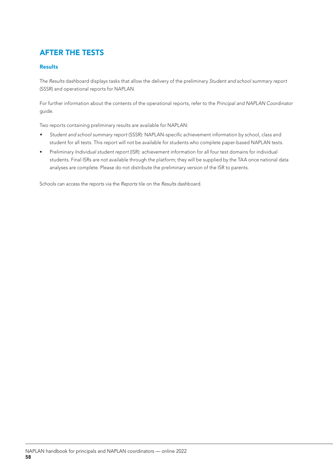# AFTER THE TESTS

## **Results**

The *Results* dashboard displays tasks that allow the delivery of the preliminary *Student and school summary report*  (SSSR) and operational reports for NAPLAN.

For further information about the contents of the operational reports, refer to the *Principal and NAPLAN Coordinator* guide.

Two reports containing preliminary results are available for NAPLAN:

- *• Student and school summary report* (SSSR): NAPLAN-specific achievement information by school, class and student for all tests. This report will not be available for students who complete paper-based NAPLAN tests.
- Preliminary *Individual student report* (ISR): achievement information for all four test domains for individual students. Final ISRs are not available through the platform; they will be supplied by the TAA once national data analyses are complete. Please do not distribute the preliminary version of the ISR to parents.

Schools can access the reports via the *Reports* tile on the *Results* dashboard.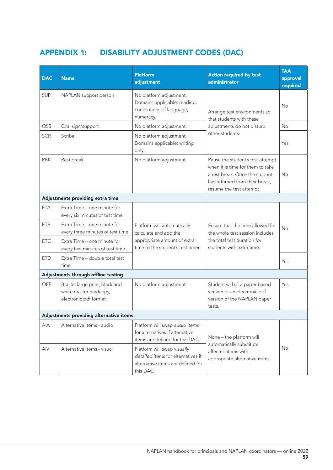# APPENDIX 1: DISABILITY ADJUSTMENT CODES (DAC)

| <b>DAC</b> | <b>Name</b>                                                                        | Platform<br>adjustment                                                                                              | <b>Action required by test</b><br>administrator                                                                                                                      | <b>TAA</b><br>approval<br>required |
|------------|------------------------------------------------------------------------------------|---------------------------------------------------------------------------------------------------------------------|----------------------------------------------------------------------------------------------------------------------------------------------------------------------|------------------------------------|
| <b>SUP</b> | NAPLAN support person                                                              | No platform adjustment.<br>Domains applicable: reading,<br>conventions of language,<br>numeracy.                    | Arrange test environments so<br>that students with these                                                                                                             | No                                 |
| OSS        | Oral sign/support                                                                  | No platform adjustment.                                                                                             | adjustments do not disturb                                                                                                                                           | <b>No</b>                          |
| <b>SCR</b> | Scribe                                                                             | No platform adjustment.<br>Domains applicable: writing<br>only.                                                     | other students.                                                                                                                                                      | Yes                                |
| <b>RBK</b> | Rest break                                                                         | No platform adjustment.                                                                                             | Pause the student's test attempt<br>when it is time for them to take<br>a rest break. Once the student<br>has returned from their break,<br>resume the test attempt. | <b>No</b>                          |
|            | Adjustments providing extra time                                                   |                                                                                                                     |                                                                                                                                                                      |                                    |
| <b>ETA</b> | Extra Time - one minute for<br>every six minutes of test time                      |                                                                                                                     |                                                                                                                                                                      |                                    |
| <b>ETB</b> | Extra Time - one minute for<br>every three minutes of test time                    | Platform will automatically<br>calculate and add the                                                                | Ensure that the time allowed for<br>the whole test session includes                                                                                                  | <b>No</b>                          |
| <b>ETC</b> | Extra Time - one minute for<br>every two minutes of test time                      | appropriate amount of extra<br>time to the student's test timer.                                                    | the total test duration for<br>students with extra time.                                                                                                             |                                    |
| <b>ETD</b> | Extra Time - double total test<br>time                                             |                                                                                                                     |                                                                                                                                                                      | Yes                                |
|            | Adjustments through offline testing                                                |                                                                                                                     |                                                                                                                                                                      |                                    |
| <b>OFF</b> | Braille, large print, black and<br>white master hardcopy,<br>electronic pdf format | No platform adjustment.                                                                                             | Student will sit a paper-based<br>version or an electronic pdf<br>version of the NAPLAN paper<br>tests.                                                              | Yes                                |
|            | Adjustments providing alternative items                                            |                                                                                                                     |                                                                                                                                                                      |                                    |
| <b>AIA</b> | Alternative items - audio                                                          | Platform will swap audio items<br>for alternatives if alternative<br>items are defined for this DAC.                | None - the platform will                                                                                                                                             |                                    |
| AIV        | Alternative items - visual                                                         | Platform will swap visually<br>detailed items for alternatives if<br>alternative items are defined for<br>this DAC. | automatically substitute<br>affected items with<br>appropriate alternative items.                                                                                    | No                                 |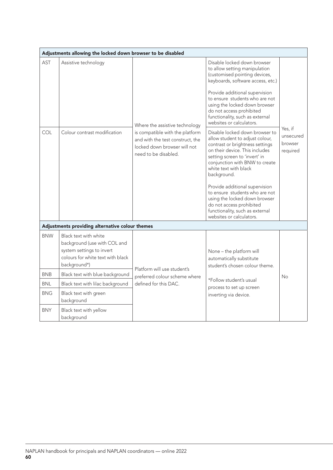|            | Adjustments allowing the locked down browser to be disabled                                                                             |                                                                                                                             |                                                                                                                                                                                                                                                                                                                                                                                                                                                   |                                             |
|------------|-----------------------------------------------------------------------------------------------------------------------------------------|-----------------------------------------------------------------------------------------------------------------------------|---------------------------------------------------------------------------------------------------------------------------------------------------------------------------------------------------------------------------------------------------------------------------------------------------------------------------------------------------------------------------------------------------------------------------------------------------|---------------------------------------------|
| AST        | Assistive technology                                                                                                                    | Where the assistive technology                                                                                              | Disable locked down browser<br>to allow setting manipulation<br>(customised pointing devices,<br>keyboards, software access, etc.)<br>Provide additional supervision<br>to ensure students who are not<br>using the locked down browser<br>do not access prohibited<br>functionality, such as external<br>websites or calculators.                                                                                                                |                                             |
| COL        | Colour contrast modification                                                                                                            | is compatible with the platform<br>and with the test construct, the<br>locked down browser will not<br>need to be disabled. | Disable locked down browser to<br>allow student to adjust colour,<br>contrast or brightness settings<br>on their device. This includes<br>setting screen to 'invert' in<br>conjunction with BNW to create<br>white text with black<br>background.<br>Provide additional supervision<br>to ensure students who are not<br>using the locked down browser<br>do not access prohibited<br>functionality, such as external<br>websites or calculators. | Yes, if<br>unsecured<br>browser<br>required |
|            | Adjustments providing alternative colour themes                                                                                         |                                                                                                                             |                                                                                                                                                                                                                                                                                                                                                                                                                                                   |                                             |
| <b>BNW</b> | Black text with white<br>background (use with COL and<br>system settings to invert<br>colours for white text with black<br>background*) | Platform will use student's                                                                                                 | None - the platform will<br>automatically substitute<br>student's chosen colour theme.                                                                                                                                                                                                                                                                                                                                                            |                                             |
| <b>BNB</b> | Black text with blue background                                                                                                         | preferred colour scheme where                                                                                               |                                                                                                                                                                                                                                                                                                                                                                                                                                                   | No                                          |
| <b>BNL</b> | Black text with lilac background                                                                                                        | defined for this DAC.                                                                                                       | *Follow student's usual<br>process to set up screen                                                                                                                                                                                                                                                                                                                                                                                               |                                             |
| <b>BNG</b> | Black text with green<br>background                                                                                                     |                                                                                                                             | inverting via device.                                                                                                                                                                                                                                                                                                                                                                                                                             |                                             |
| <b>BNY</b> | Black text with yellow<br>background                                                                                                    |                                                                                                                             |                                                                                                                                                                                                                                                                                                                                                                                                                                                   |                                             |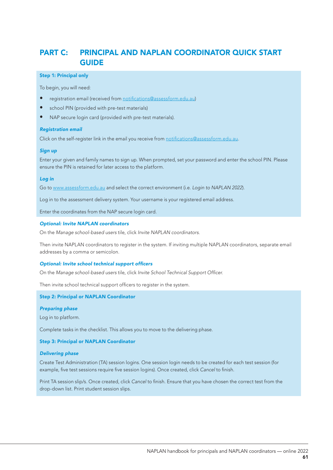## PART C: PRINCIPAL AND NAPLAN COORDINATOR QUICK START GUIDE

#### Step 1: Principal only

To begin, you will need:

- registration email (received from notifications@assessform.edu.au)
- school PIN (provided with pre-test materials)
- NAP secure login card (provided with pre-test materials).

#### *Registration email*

Click on the self-register link in the email you receive from notifications@assessform.edu.au.

#### *Sign up*

Enter your given and family names to sign up. When prompted, set your password and enter the school PIN. Please ensure the PIN is retained for later access to the platform.

#### *Log in*

Go to www.assessform.edu.au and select the correct environment (i.e. *Login to NAPLAN 2022*).

Log in to the assessment delivery system. Your username is your registered email address.

Enter the coordinates from the NAP secure login card.

#### *Optional: Invite NAPLAN coordinators*

On the *Manage school-based users* tile, click *Invite NAPLAN coordinators*.

Then invite NAPLAN coordinators to register in the system. If inviting multiple NAPLAN coordinators, separate email addresses by a comma or semicolon.

#### Optional: Invite school technical support officers

On the *Manage school-based users* tile, click Invite School Technical Support Officer.

Then invite school technical support officers to register in the system.

## Step 2: Principal or NAPLAN Coordinator

#### *Preparing phase*

Log in to platform.

Complete tasks in the checklist. This allows you to move to the delivering phase.

#### Step 3: Principal or NAPLAN Coordinator

## *Delivering phase*

Create Test Administration (TA) session logins. One session login needs to be created for each test session (for example, five test sessions require five session logins). Once created, click *Cancel* to finish.

Print TA session slip/s. Once created, click *Cancel* to finish. Ensure that you have chosen the correct test from the drop-down list. Print student session slips.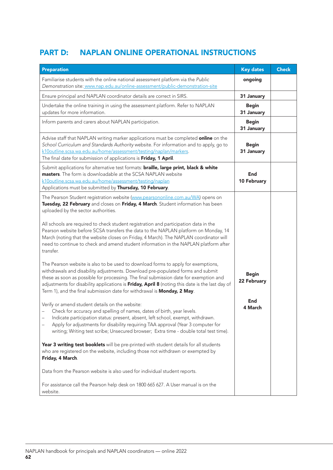# PART D: NAPLAN ONLINE OPERATIONAL INSTRUCTIONS

| <b>Preparation</b>                                                                                                                                                                                                                                                                                                                                                                                                                                                                                                                                                                                                                                                                                                                                                                                                                                                                                                                                                                                                                      | <b>Key dates</b>                   | <b>Check</b> |
|-----------------------------------------------------------------------------------------------------------------------------------------------------------------------------------------------------------------------------------------------------------------------------------------------------------------------------------------------------------------------------------------------------------------------------------------------------------------------------------------------------------------------------------------------------------------------------------------------------------------------------------------------------------------------------------------------------------------------------------------------------------------------------------------------------------------------------------------------------------------------------------------------------------------------------------------------------------------------------------------------------------------------------------------|------------------------------------|--------------|
| Familiarise students with the online national assessment platform via the Public<br>Demonstration site: www.nap.edu.au/online-assessment/public-demonstration-site                                                                                                                                                                                                                                                                                                                                                                                                                                                                                                                                                                                                                                                                                                                                                                                                                                                                      | ongoing                            |              |
| Ensure principal and NAPLAN coordinator details are correct in SIRS.                                                                                                                                                                                                                                                                                                                                                                                                                                                                                                                                                                                                                                                                                                                                                                                                                                                                                                                                                                    | 31 January                         |              |
| Undertake the online training in using the assessment platform. Refer to NAPLAN<br>updates for more information.                                                                                                                                                                                                                                                                                                                                                                                                                                                                                                                                                                                                                                                                                                                                                                                                                                                                                                                        | <b>Begin</b><br>31 January         |              |
| Inform parents and carers about NAPLAN participation.                                                                                                                                                                                                                                                                                                                                                                                                                                                                                                                                                                                                                                                                                                                                                                                                                                                                                                                                                                                   | <b>Begin</b><br>31 January         |              |
| Advise staff that NAPLAN writing marker applications must be completed online on the<br>School Curriculum and Standards Authority website. For information and to apply, go to<br>k10outline.scsa.wa.edu.au/home/assessment/testing/naplan/markers.<br>The final date for submission of applications is Friday, 1 April.                                                                                                                                                                                                                                                                                                                                                                                                                                                                                                                                                                                                                                                                                                                | <b>Begin</b><br>31 January         |              |
| Submit applications for alternative test formats: braille, large print, black & white<br>masters. The form is downloadable at the SCSA NAPLAN website<br>k10outline.scsa.wa.edu.au/home/assessment/testing/naplan<br>Applications must be submitted by Thursday, 10 February.                                                                                                                                                                                                                                                                                                                                                                                                                                                                                                                                                                                                                                                                                                                                                           | End<br>10 February                 |              |
| The Pearson Student registration website (www.pearsononline.com.au/WA) opens on<br>Tuesday, 22 February and closes on Friday, 4 March. Student information has been<br>uploaded by the sector authorities.<br>All schools are required to check student registration and participation data in the<br>Pearson website before SCSA transfers the data to the NAPLAN platform on Monday, 14<br>March (noting that the website closes on Friday, 4 March). The NAPLAN coordinator will<br>need to continue to check and amend student information in the NAPLAN platform after<br>transfer.<br>The Pearson website is also to be used to download forms to apply for exemptions,<br>withdrawals and disability adjustments. Download pre-populated forms and submit<br>these as soon as possible for processing. The final submission date for exemption and<br>adjustments for disability applications is Friday, April 8 (noting this date is the last day of<br>Term 1), and the final submission date for withdrawal is Monday, 2 May. | <b>Begin</b><br>22 February<br>End |              |
| Verify or amend student details on the website:<br>Check for accuracy and spelling of names, dates of birth, year levels.<br>Indicate participation status: present, absent, left school, exempt, withdrawn.<br>Apply for adjustments for disability requiring TAA approval (Year 3 computer for<br>writing; Writing test scribe; Unsecured browser; Extra time - double total test time).<br>Year 3 writing test booklets will be pre-printed with student details for all students<br>who are registered on the website, including those not withdrawn or exempted by<br>Friday, 4 March.<br>Data from the Pearson website is also used for individual student reports.<br>For assistance call the Pearson help desk on 1800 665 627. A User manual is on the<br>website.                                                                                                                                                                                                                                                             | 4 March                            |              |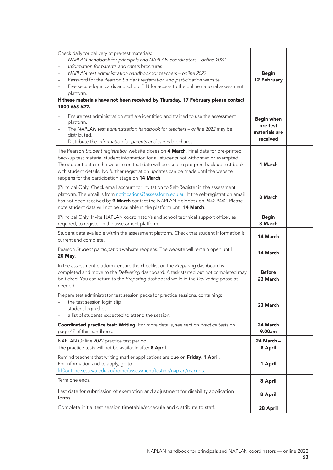| Check daily for delivery of pre-test materials:<br>NAPLAN handbook for principals and NAPLAN coordinators - online 2022<br>Information for parents and carers brochures<br>NAPLAN test administration handbook for teachers - online 2022<br>Password for the Pearson Student registration and participation website<br>$\qquad \qquad -$<br>Five secure login cards and school PIN for access to the online national assessment<br>platform.<br>If these materials have not been received by Thursday, 17 February please contact<br>1800 665 627. | <b>Begin</b><br>12 February                                |  |
|-----------------------------------------------------------------------------------------------------------------------------------------------------------------------------------------------------------------------------------------------------------------------------------------------------------------------------------------------------------------------------------------------------------------------------------------------------------------------------------------------------------------------------------------------------|------------------------------------------------------------|--|
| Ensure test administration staff are identified and trained to use the assessment<br>platform.<br>The NAPLAN test administration handbook for teachers - online 2022 may be<br>$\overline{\phantom{0}}$<br>distributed.<br>Distribute the Information for parents and carers brochures.                                                                                                                                                                                                                                                             | <b>Begin when</b><br>pre-test<br>materials are<br>received |  |
| The Pearson Student registration website closes on 4 March. Final date for pre-printed<br>back-up test material student information for all students not withdrawn or exempted.<br>The student data in the website on that date will be used to pre-print back-up test books<br>with student details. No further registration updates can be made until the website<br>reopens for the participation stage on 14 March.                                                                                                                             | 4 March                                                    |  |
| (Principal Only) Check email account for Invitation to Self-Register in the assessment<br>platform. The email is from notifications@assessform.edu.au. If the self-registration email<br>has not been received by 9 March contact the NAPLAN Helpdesk on 9442 9442. Please<br>note student data will not be available in the platform until 14 March.                                                                                                                                                                                               | 8 March                                                    |  |
| (Principal Only) Invite NAPLAN coordinator/s and school technical support officer, as<br>required, to register in the assessment platform.                                                                                                                                                                                                                                                                                                                                                                                                          | <b>Begin</b><br>8 March                                    |  |
| Student data available within the assessment platform. Check that student information is<br>current and complete.                                                                                                                                                                                                                                                                                                                                                                                                                                   | 14 March                                                   |  |
| Pearson Student participation website reopens. The website will remain open until<br><b>20 May.</b>                                                                                                                                                                                                                                                                                                                                                                                                                                                 | 14 March                                                   |  |
| In the assessment platform, ensure the checklist on the Preparing dashboard is<br>completed and move to the Delivering dashboard. A task started but not completed may<br>be ticked. You can return to the Preparing dashboard while in the Delivering phase as<br>needed.                                                                                                                                                                                                                                                                          | <b>Before</b><br>23 March                                  |  |
| Prepare test administrator test session packs for practice sessions, containing:<br>the test session login slip<br>student login slips<br>a list of students expected to attend the session.                                                                                                                                                                                                                                                                                                                                                        | 23 March                                                   |  |
| Coordinated practice test: Writing. For more details, see section Practice tests on<br>page 47 of this handbook.                                                                                                                                                                                                                                                                                                                                                                                                                                    | 24 March<br>9.00am                                         |  |
| NAPLAN Online 2022 practice test period.<br>The practice tests will not be available after 8 April.                                                                                                                                                                                                                                                                                                                                                                                                                                                 | 24 March -<br>8 April                                      |  |
| Remind teachers that writing marker applications are due on Friday, 1 April.<br>For information and to apply, go to<br>k10outline.scsa.wa.edu.au/home/assessment/testing/naplan/markers.                                                                                                                                                                                                                                                                                                                                                            | 1 April                                                    |  |
| Term one ends.                                                                                                                                                                                                                                                                                                                                                                                                                                                                                                                                      | 8 April                                                    |  |
| Last date for submission of exemption and adjustment for disability application<br>forms.                                                                                                                                                                                                                                                                                                                                                                                                                                                           | 8 April                                                    |  |
| Complete initial test session timetable/schedule and distribute to staff.                                                                                                                                                                                                                                                                                                                                                                                                                                                                           | 28 April                                                   |  |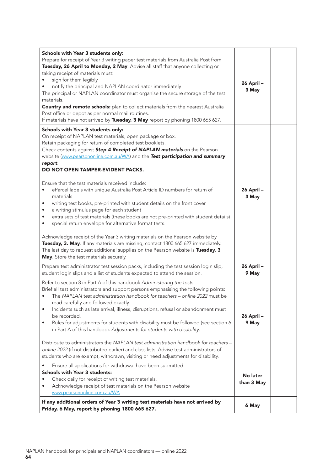| Schools with Year 3 students only:<br>Prepare for receipt of Year 3 writing paper test materials from Australia Post from<br>Tuesday, 26 April to Monday, 2 May. Advise all staff that anyone collecting or<br>taking receipt of materials must:<br>sign for them legibly<br>notify the principal and NAPLAN coordinator immediately<br>The principal or NAPLAN coordinator must organise the secure storage of the test<br>materials.<br><b>Country and remote schools:</b> plan to collect materials from the nearest Australia<br>Post office or depot as per normal mail routines.<br>If materials have not arrived by Tuesday, 3 May report by phoning 1800 665 627. | 26 April-<br>3 May     |  |
|---------------------------------------------------------------------------------------------------------------------------------------------------------------------------------------------------------------------------------------------------------------------------------------------------------------------------------------------------------------------------------------------------------------------------------------------------------------------------------------------------------------------------------------------------------------------------------------------------------------------------------------------------------------------------|------------------------|--|
| Schools with Year 3 students only:<br>On receipt of NAPLAN test materials, open package or box.<br>Retain packaging for return of completed test booklets.<br>Check contents against Step 4 Receipt of NAPLAN materials on the Pearson<br>website (www.pearsononline.com.au/WA) and the Test participation and summary<br>report.<br>DO NOT OPEN TAMPER-EVIDENT PACKS.<br>Ensure that the test materials received include:<br>eParcel labels with unique Australia Post Article ID numbers for return of<br>٠                                                                                                                                                             | 26 April-              |  |
| materials<br>writing test books, pre-printed with student details on the front cover<br>٠<br>a writing stimulus page for each student<br>٠<br>extra sets of test materials (these books are not pre-printed with student details)<br>$\bullet$<br>special return envelope for alternative format tests.<br>$\bullet$<br>Acknowledge receipt of the Year 3 writing materials on the Pearson website by<br>Tuesday, 3. May. If any materials are missing, contact 1800 665 627 immediately.<br>The last day to request additional supplies on the Pearson website is Tuesday, 3<br>May. Store the test materials securely.                                                  | 3 May                  |  |
| Prepare test administrator test session packs, including the test session login slip,<br>student login slips and a list of students expected to attend the session.                                                                                                                                                                                                                                                                                                                                                                                                                                                                                                       | 26 April-<br>9 May     |  |
| Refer to section 8 in Part A of this handbook Administering the tests.<br>Brief all test administrators and support persons emphasising the following points:<br>The NAPLAN test administration handbook for teachers – online 2022 must be<br>read carefully and followed exactly.<br>Incidents such as late arrival, illness, disruptions, refusal or abandonment must<br>٠<br>be recorded.<br>Rules for adjustments for students with disability must be followed (see section 6<br>٠<br>in Part A of this handbook Adjustments for students with disability.                                                                                                          | 26 April -<br>9 May    |  |
| Distribute to administrators the NAPLAN test administration handbook for teachers -<br>online 2022 (if not distributed earlier) and class lists. Advise test administrators of<br>students who are exempt, withdrawn, visiting or need adjustments for disability.                                                                                                                                                                                                                                                                                                                                                                                                        |                        |  |
| Ensure all applications for withdrawal have been submitted.<br><b>Schools with Year 3 students:</b><br>Check daily for receipt of writing test materials.<br>Acknowledge receipt of test materials on the Pearson website<br>٠<br>www.pearsononline.com.au/WA                                                                                                                                                                                                                                                                                                                                                                                                             | No later<br>than 3 May |  |
| If any additional orders of Year 3 writing test materials have not arrived by<br>Friday, 6 May, report by phoning 1800 665 627.                                                                                                                                                                                                                                                                                                                                                                                                                                                                                                                                           | 6 May                  |  |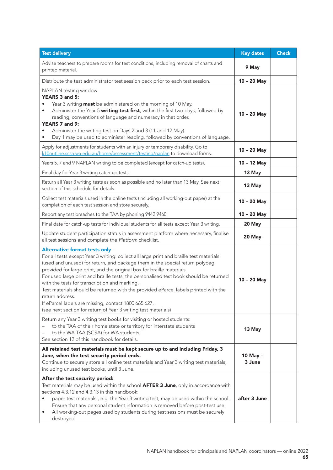| <b>Test delivery</b>                                                                                                                                                                                                                                                                                                                                                                                                                                                                                                                                                                                                                                                   | <b>Key dates</b>   | <b>Check</b> |
|------------------------------------------------------------------------------------------------------------------------------------------------------------------------------------------------------------------------------------------------------------------------------------------------------------------------------------------------------------------------------------------------------------------------------------------------------------------------------------------------------------------------------------------------------------------------------------------------------------------------------------------------------------------------|--------------------|--------------|
| Advise teachers to prepare rooms for test conditions, including removal of charts and<br>printed material.                                                                                                                                                                                                                                                                                                                                                                                                                                                                                                                                                             | 9 May              |              |
| Distribute the test administrator test session pack prior to each test session.                                                                                                                                                                                                                                                                                                                                                                                                                                                                                                                                                                                        | $10 - 20$ May      |              |
| NAPLAN testing window<br>YEARS 3 and 5:<br>Year 3 writing <b>must</b> be administered on the morning of 10 May.<br>Administer the Year 5 writing test first, within the first two days, followed by<br>reading, conventions of language and numeracy in that order.<br>YEARS 7 and 9:<br>Administer the writing test on Days 2 and 3 (11 and 12 May).<br>Day 1 may be used to administer reading, followed by conventions of language.                                                                                                                                                                                                                                 | $10 - 20$ May      |              |
| Apply for adjustments for students with an injury or temporary disability. Go to<br>k10outline.scsa.wa.edu.au/home/assessment/testing/naplan to download forms.                                                                                                                                                                                                                                                                                                                                                                                                                                                                                                        | 10 - 20 May        |              |
| Years 5, 7 and 9 NAPLAN writing to be completed (except for catch-up tests).                                                                                                                                                                                                                                                                                                                                                                                                                                                                                                                                                                                           | 10 - 12 May        |              |
| Final day for Year 3 writing catch-up tests.                                                                                                                                                                                                                                                                                                                                                                                                                                                                                                                                                                                                                           | 13 May             |              |
| Return all Year 3 writing tests as soon as possible and no later than 13 May. See next<br>section of this schedule for details.                                                                                                                                                                                                                                                                                                                                                                                                                                                                                                                                        | 13 May             |              |
| Collect test materials used in the online tests (including all working-out paper) at the<br>completion of each test session and store securely.                                                                                                                                                                                                                                                                                                                                                                                                                                                                                                                        | $10 - 20$ May      |              |
| Report any test breaches to the TAA by phoning 9442 9460.                                                                                                                                                                                                                                                                                                                                                                                                                                                                                                                                                                                                              | 10 - 20 May        |              |
| Final date for catch-up tests for individual students for all tests except Year 3 writing.                                                                                                                                                                                                                                                                                                                                                                                                                                                                                                                                                                             | 20 May             |              |
| Update student participation status in assessment platform where necessary, finalise<br>all test sessions and complete the Platform checklist.                                                                                                                                                                                                                                                                                                                                                                                                                                                                                                                         | 20 May             |              |
| <b>Alternative format tests only</b><br>For all tests except Year 3 writing: collect all large print and braille test materials<br>(used and unused) for return, and package them in the special return polybag<br>provided for large print, and the original box for braille materials.<br>For used large print and braille tests, the personalised test book should be returned<br>with the tests for transcription and marking.<br>Test materials should be returned with the provided eParcel labels printed with the<br>return address.<br>If eParcel labels are missing, contact 1800 665 627.<br>(see next section for return of Year 3 writing test materials) | $10 - 20$ May      |              |
| Return any Year 3 writing test books for visiting or hosted students:<br>to the TAA of their home state or territory for interstate students<br>to the WA TAA (SCSA) for WA students.<br>See section 12 of this handbook for details.                                                                                                                                                                                                                                                                                                                                                                                                                                  | 13 May             |              |
| All retained test materials must be kept secure up to and including Friday, 3<br>June, when the test security period ends.<br>Continue to securely store all online test materials and Year 3 writing test materials,<br>including unused test books, until 3 June.                                                                                                                                                                                                                                                                                                                                                                                                    | 10 May -<br>3 June |              |
| After the test security period:<br>Test materials may be used within the school <b>AFTER 3 June</b> , only in accordance with<br>sections 4.3.12 and 4.3.13 in this handbook:<br>paper test materials, e.g. the Year 3 writing test, may be used within the school.<br>Ensure that any personal student information is removed before post-test use.<br>All working-out pages used by students during test sessions must be securely<br>٠<br>destroyed.                                                                                                                                                                                                                | after 3 June       |              |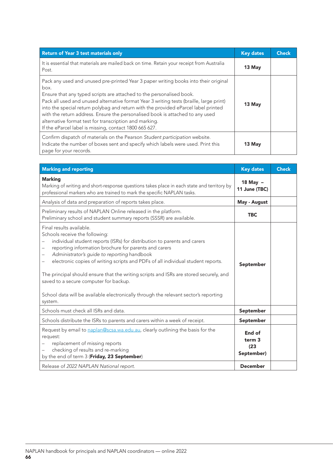| <b>Return of Year 3 test materials only</b>                                                                                                                                                                                                                                                                                                                                                                                                                                                                                                               | <b>Key dates</b> | Check |
|-----------------------------------------------------------------------------------------------------------------------------------------------------------------------------------------------------------------------------------------------------------------------------------------------------------------------------------------------------------------------------------------------------------------------------------------------------------------------------------------------------------------------------------------------------------|------------------|-------|
| It is essential that materials are mailed back on time. Retain your receipt from Australia<br>Post.                                                                                                                                                                                                                                                                                                                                                                                                                                                       | 13 May           |       |
| Pack any used and unused pre-printed Year 3 paper writing books into their original<br>box.<br>Ensure that any typed scripts are attached to the personalised book.<br>Pack all used and unused alternative format Year 3 writing tests (braille, large print)<br>into the special return polybag and return with the provided eParcel label printed<br>with the return address. Ensure the personalised book is attached to any used<br>alternative format test for transcription and marking.<br>If the eParcel label is missing, contact 1800 665 627. | 13 May           |       |
| Confirm dispatch of materials on the Pearson Student participation website.<br>Indicate the number of boxes sent and specify which labels were used. Print this<br>page for your records.                                                                                                                                                                                                                                                                                                                                                                 | 13 May           |       |

| <b>Marking and reporting</b>                                                                                                                                                                                                                                                                                                                                                                                                                                                                                                                                                                                                                    | <b>Key dates</b>                                  | <b>Check</b> |
|-------------------------------------------------------------------------------------------------------------------------------------------------------------------------------------------------------------------------------------------------------------------------------------------------------------------------------------------------------------------------------------------------------------------------------------------------------------------------------------------------------------------------------------------------------------------------------------------------------------------------------------------------|---------------------------------------------------|--------------|
| <b>Marking</b><br>Marking of writing and short-response questions takes place in each state and territory by<br>professional markers who are trained to mark the specific NAPLAN tasks.                                                                                                                                                                                                                                                                                                                                                                                                                                                         | 18 May $-$<br>11 June (TBC)                       |              |
| Analysis of data and preparation of reports takes place.                                                                                                                                                                                                                                                                                                                                                                                                                                                                                                                                                                                        | May - August                                      |              |
| Preliminary results of NAPLAN Online released in the platform.<br>Preliminary school and student summary reports (SSSR) are available.                                                                                                                                                                                                                                                                                                                                                                                                                                                                                                          | <b>TBC</b>                                        |              |
| Final results available.<br>Schools receive the following:<br>individual student reports (ISRs) for distribution to parents and carers<br>reporting information brochure for parents and carers<br>$\qquad \qquad -$<br>Administrator's guide to reporting handbook<br>$\qquad \qquad -$<br>electronic copies of writing scripts and PDFs of all individual student reports.<br>$\overline{\phantom{0}}$<br>The principal should ensure that the writing scripts and ISRs are stored securely, and<br>saved to a secure computer for backup.<br>School data will be available electronically through the relevant sector's reporting<br>system. | September                                         |              |
| Schools must check all ISRs and data.                                                                                                                                                                                                                                                                                                                                                                                                                                                                                                                                                                                                           | September                                         |              |
| Schools distribute the ISRs to parents and carers within a week of receipt.                                                                                                                                                                                                                                                                                                                                                                                                                                                                                                                                                                     | September                                         |              |
| Request by email to naplan@scsa.wa.edu.au, clearly outlining the basis for the<br>request:<br>replacement of missing reports<br>checking of results and re-marking<br>by the end of term 3 (Friday, 23 September)                                                                                                                                                                                                                                                                                                                                                                                                                               | End of<br>term <sub>3</sub><br>(23)<br>September) |              |
| Release of 2022 NAPLAN National report.                                                                                                                                                                                                                                                                                                                                                                                                                                                                                                                                                                                                         | <b>December</b>                                   |              |